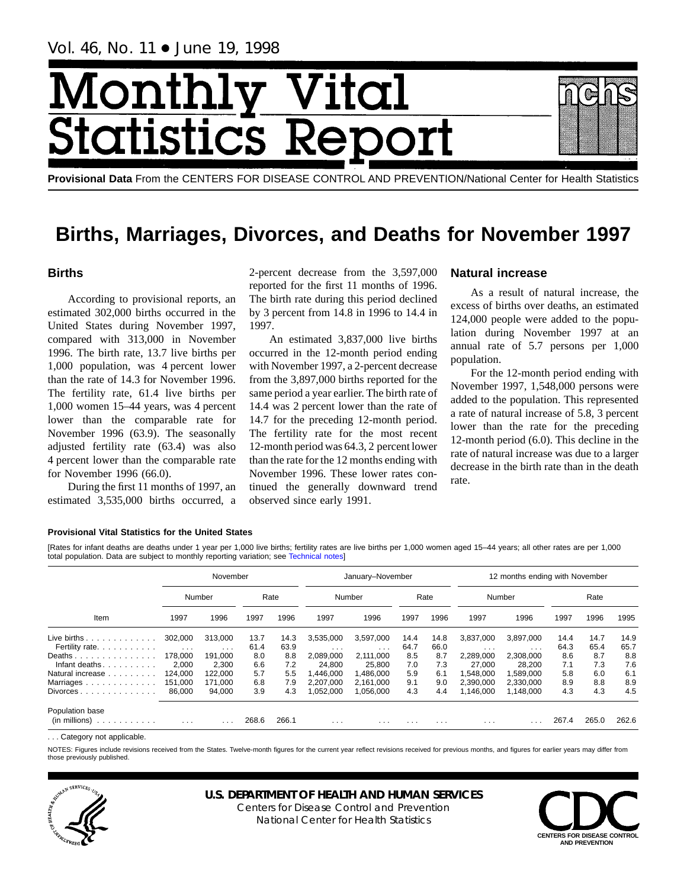# Monthl <u>| Vital</u> **itatistics Rer**

**Provisional Data** From the CENTERS FOR DISEASE CONTROL AND PREVENTION/National Center for Health Statistics

## **Births, Marriages, Divorces, and Deaths for November 1997**

## **Births**

According to provisional reports, an estimated 302,000 births occurred in the United States during November 1997, compared with 313,000 in November 1996. The birth rate, 13.7 live births per 1,000 population, was 4 percent lower than the rate of 14.3 for November 1996. The fertility rate, 61.4 live births per 1,000 women 15–44 years, was 4 percent lower than the comparable rate for November 1996 (63.9). The seasonally adjusted fertility rate (63.4) was also 4 percent lower than the comparable rate for November 1996 (66.0).

During the first 11 months of 1997, an estimated 3,535,000 births occurred, a

2-percent decrease from the 3,597,000 reported for the first 11 months of 1996. The birth rate during this period declined by 3 percent from 14.8 in 1996 to 14.4 in 1997.

An estimated 3,837,000 live births occurred in the 12-month period ending with November 1997, a 2-percent decrease from the 3,897,000 births reported for the same period a year earlier. The birth rate of 14.4 was 2 percent lower than the rate of 14.7 for the preceding 12-month period. The fertility rate for the most recent 12-month period was 64.3, 2 percent lower than the rate for the 12 months ending with November 1996. These lower rates continued the generally downward trend observed since early 1991.

## **Natural increase**

As a result of natural increase, the excess of births over deaths, an estimated 124,000 people were added to the population during November 1997 at an annual rate of 5.7 persons per 1,000 population.

For the 12-month period ending with November 1997, 1,548,000 persons were added to the population. This represented a rate of natural increase of 5.8, 3 percent lower than the rate for the preceding 12-month period (6.0). This decline in the rate of natural increase was due to a larger decrease in the birth rate than in the death rate.

#### **Provisional Vital Statistics for the United States**

[Rates for infant deaths are deaths under 1 year per 1,000 live bir[ths; fertility rates are](#page-16-0) live births per 1,000 women aged 15–44 years; all other rates are per 1,000 total population. Data are subject to monthly reporting variation; see Technical notes]

|                                                         |          | November                |       |       |                         | January-November |          |          | 12 months ending with November |           |       |       |       |
|---------------------------------------------------------|----------|-------------------------|-------|-------|-------------------------|------------------|----------|----------|--------------------------------|-----------|-------|-------|-------|
|                                                         |          | Number                  |       | Rate  |                         | Number           |          | Rate     |                                | Number    |       | Rate  |       |
| Item                                                    | 1997     | 1996                    | 1997  | 1996  | 1997                    | 1996             | 1997     | 1996     | 1997                           | 1996      | 1997  | 1996  | 1995  |
| Live births $\ldots$                                    | 302.000  | 313.000                 | 13.7  | 14.3  | 3,535,000               | 3,597,000        | 14.4     | 14.8     | 3,837,000                      | 3,897,000 | 14.4  | 14.7  | 14.9  |
| Fertility rate.                                         | $\cdots$ | $\cdot$ $\cdot$ $\cdot$ | 61.4  | 63.9  | $\cdots$                | $\cdots$         | 64.7     | 66.0     | .                              | .         | 64.3  | 65.4  | 65.7  |
| Deaths                                                  | 178.000  | 191.000                 | 8.0   | 8.8   | 2,089,000               | 2,111,000        | 8.5      | 8.7      | 2.289.000                      | 2.308.000 | 8.6   | 8.7   | 8.8   |
| Infant deaths.<br>.                                     | 2,000    | 2,300                   | 6.6   | 7.2   | 24.800                  | 25,800           | 7.0      | 7.3      | 27,000                         | 28,200    | 7.1   | 7.3   | 7.6   |
| Natural increase                                        | 124.000  | 122.000                 | 5.7   | 5.5   | .446.000                | 1.486.000        | 5.9      | 6.1      | 1.548.000                      | 1.589.000 | 5.8   | 6.0   | 6.1   |
| Marriages                                               | 151,000  | 171.000                 | 6.8   | 7.9   | 2,207,000               | 2,161,000        | 9.1      | 9.0      | 2.390.000                      | 2.330.000 | 8.9   | 8.8   | 8.9   |
| $Divorces \dots \dots \dots \dots \dots$                | 86.000   | 94,000                  | 3.9   | 4.3   | ,052,000                | 1,056,000        | 4.3      | 4.4      | 146,000.                       | 1.148.000 | 4.3   | 4.3   | 4.5   |
| Population base                                         |          |                         |       |       |                         |                  |          |          |                                |           |       |       |       |
| (in millions)<br>the second contract of the second con- | $\cdots$ | $\cdots$                | 268.6 | 266.1 | $\cdot$ $\cdot$ $\cdot$ | $\cdots$         | $\cdots$ | $\cdots$ | $\cdots$                       | .         | 267.4 | 265.0 | 262.6 |

. . . Category not applicable.

NOTES: Figures include revisions received from the States. Twelve-month figures for the current year reflect revisions received for previous months, and figures for earlier years may differ from those previously published.



## **U.S. DEPARTMENT OF HEALTH AND HUMAN SERVICES**

Centers for Disease Control and Prevention National Center for Health Statistics

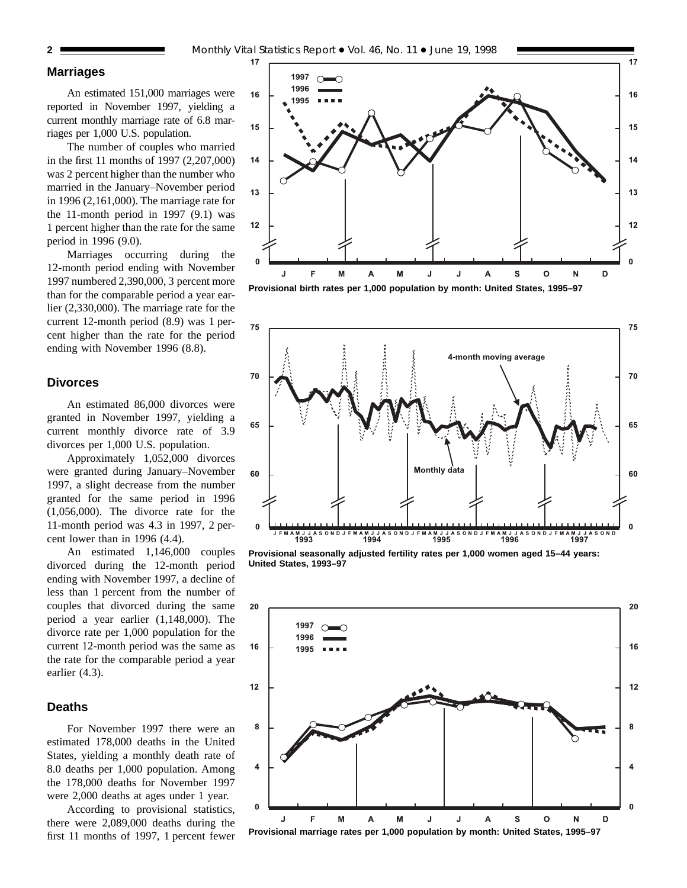## **Marriages**

An estimated 151,000 marriages were reported in November 1997, yielding a current monthly marriage rate of 6.8 marriages per 1,000 U.S. population.

The number of couples who married in the first 11 months of 1997 (2,207,000) was 2 percent higher than the number who married in the January–November period in 1996 (2,161,000). The marriage rate for the 11-month period in 1997 (9.1) was 1 percent higher than the rate for the same period in 1996 (9.0).

Marriages occurring during the 12-month period ending with November 1997 numbered 2,390,000, 3 percent more than for the comparable period a year earlier (2,330,000). The marriage rate for the current 12-month period (8.9) was 1 percent higher than the rate for the period ending with November 1996 (8.8).

## **Divorces**

An estimated 86,000 divorces were granted in November 1997, yielding a current monthly divorce rate of 3.9 divorces per 1,000 U.S. population.

Approximately 1,052,000 divorces were granted during January–November 1997, a slight decrease from the number granted for the same period in 1996 (1,056,000). The divorce rate for the 11-month period was 4.3 in 1997, 2 percent lower than in 1996 (4.4).

An estimated 1,146,000 couples divorced during the 12-month period ending with November 1997, a decline of less than 1 percent from the number of couples that divorced during the same period a year earlier (1,148,000). The divorce rate per 1,000 population for the current 12-month period was the same as the rate for the comparable period a year earlier (4.3).

## **Deaths**

For November 1997 there were an estimated 178,000 deaths in the United States, yielding a monthly death rate of 8.0 deaths per 1,000 population. Among the 178,000 deaths for November 1997 were 2,000 deaths at ages under 1 year.

According to provisional statistics, there were 2,089,000 deaths during the first 11 months of 1997, 1 percent fewer







**Provisional seasonally adjusted fertility rates per 1,000 women aged 15–44 years: United States, 1993–97**

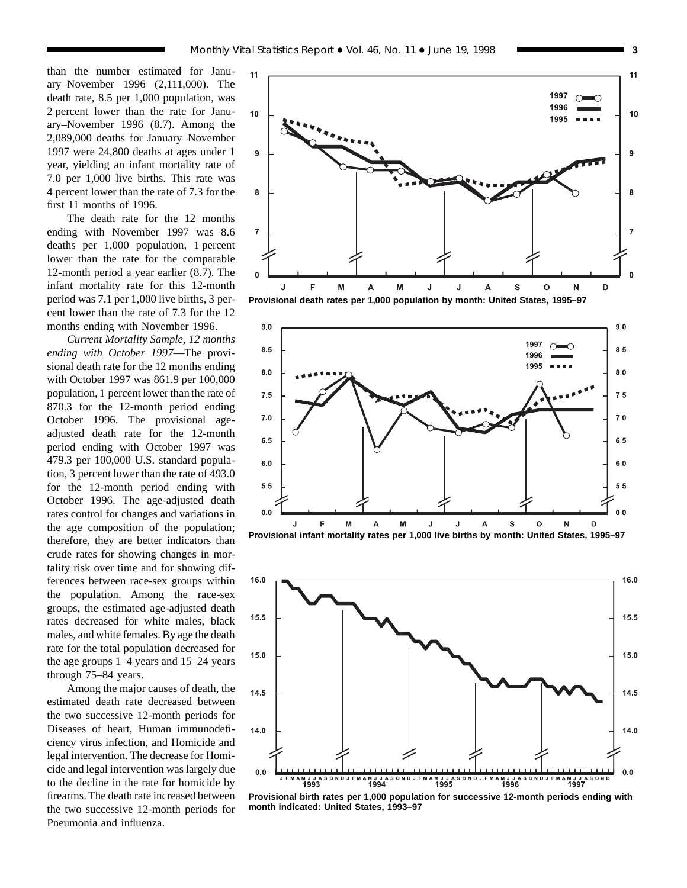than the number estimated for January–November 1996 (2,111,000). The death rate, 8.5 per 1,000 population, was 2 percent lower than the rate for January–November 1996 (8.7). Among the 2,089,000 deaths for January–November 1997 were 24,800 deaths at ages under 1 year, yielding an infant mortality rate of 7.0 per 1,000 live births. This rate was 4 percent lower than the rate of 7.3 for the first 11 months of 1996.

The death rate for the 12 months ending with November 1997 was 8.6 deaths per 1,000 population, 1 percent lower than the rate for the comparable 12-month period a year earlier (8.7). The infant mortality rate for this 12-month period was 7.1 per 1,000 live births, 3 percent lower than the rate of 7.3 for the 12 months ending with November 1996.

*Current Mortality Sample, 12 months ending with October 1997*—The provisional death rate for the 12 months ending with October 1997 was 861.9 per 100,000 population, 1 percent lower than the rate of 870.3 for the 12-month period ending October 1996. The provisional ageadjusted death rate for the 12-month period ending with October 1997 was 479.3 per 100,000 U.S. standard population, 3 percent lower than the rate of 493.0 for the 12-month period ending with October 1996. The age-adjusted death rates control for changes and variations in the age composition of the population; therefore, they are better indicators than crude rates for showing changes in mortality risk over time and for showing differences between race-sex groups within the population. Among the race-sex groups, the estimated age-adjusted death rates decreased for white males, black males, and white females. By age the death rate for the total population decreased for the age groups 1–4 years and 15–24 years through 75–84 years.

Among the major causes of death, the estimated death rate decreased between the two successive 12-month periods for Diseases of heart, Human immunodeficiency virus infection, and Homicide and legal intervention. The decrease for Homicide and legal intervention was largely due to the decline in the rate for homicide by firearms. The death rate increased between the two successive 12-month periods for Pneumonia and influenza.







**Provisional birth rates per 1,000 population for successive 12-month periods ending with month indicated: United States, 1993–97**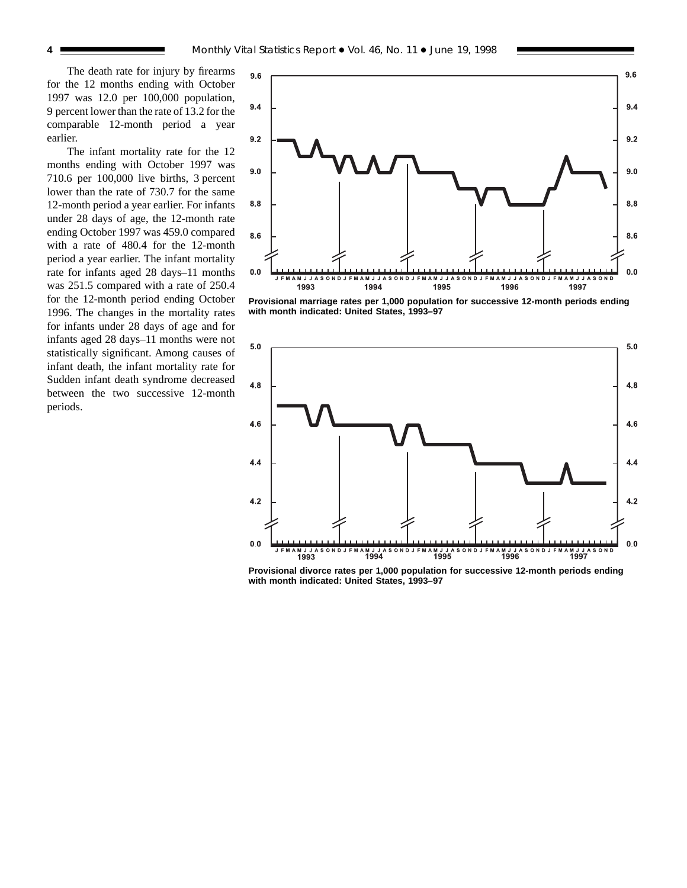The death rate for injury by firearms for the 12 months ending with October 1997 was 12.0 per 100,000 population, 9 percent lower than the rate of 13.2 for the comparable 12-month period a year earlier.

The infant mortality rate for the 12 months ending with October 1997 was 710.6 per 100,000 live births, 3 percent lower than the rate of 730.7 for the same 12-month period a year earlier. For infants under 28 days of age, the 12-month rate ending October 1997 was 459.0 compared with a rate of 480.4 for the 12-month period a year earlier. The infant mortality rate for infants aged 28 days–11 months was 251.5 compared with a rate of 250.4 for the 12-month period ending October 1996. The changes in the mortality rates for infants under 28 days of age and for infants aged 28 days–11 months were not statistically significant. Among causes of infant death, the infant mortality rate for Sudden infant death syndrome decreased between the two successive 12-month periods.



**Provisional marriage rates per 1,000 population for successive 12-month periods ending with month indicated: United States, 1993–97**



**Provisional divorce rates per 1,000 population for successive 12-month periods ending with month indicated: United States, 1993–97**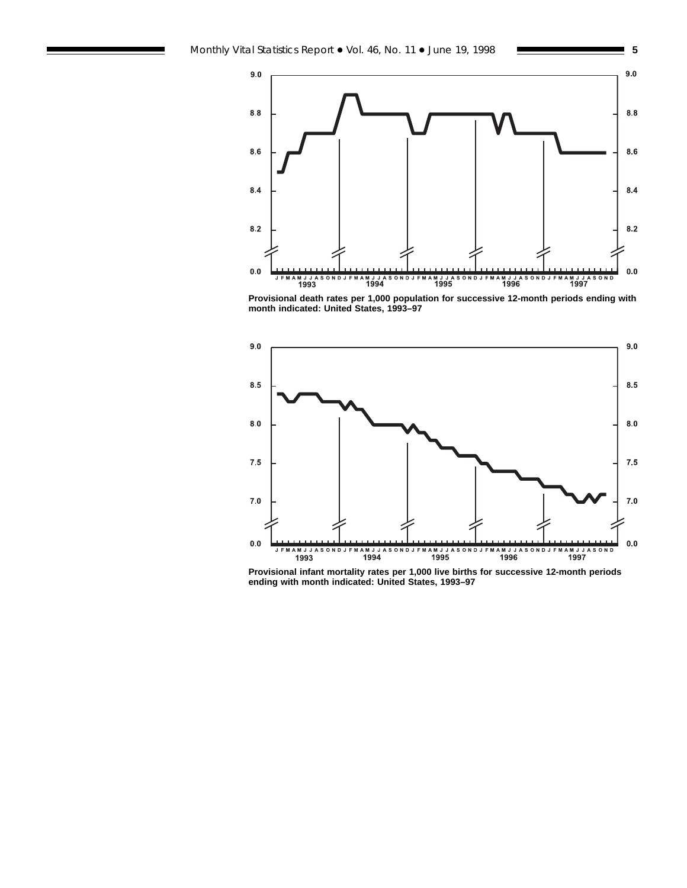



**Provisional death rates per 1,000 population for successive 12-month periods ending with month indicated: United States, 1993–97**



**Provisional infant mortality rates per 1,000 live births for successive 12-month periods ending with month indicated: United States, 1993–97**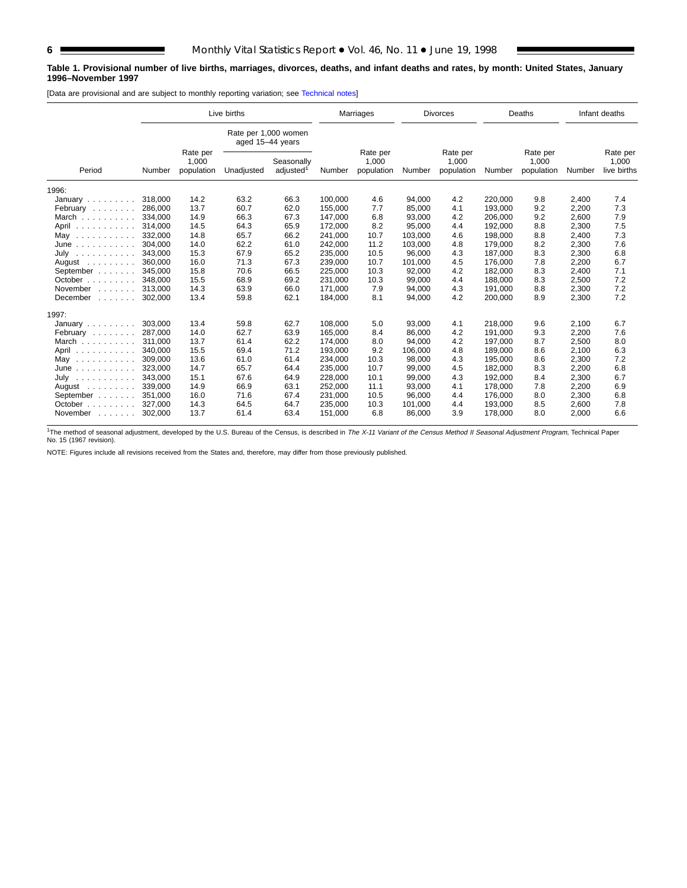#### **Table 1. Provisional number of live births, marriages, divorces, deaths, and infant deaths and rates, by month: United States, January 1996–November 1997**

[Data are provisional and are subject to monthly reporting variation; see [Technical notes\]](#page-16-0)

|                                                                                                                                                                                                                                            |                                                                                                | Live births |                                          |                                 |         | Marriages                       |         | <b>Divorces</b>                 |         | Deaths                           |       | Infant deaths |
|--------------------------------------------------------------------------------------------------------------------------------------------------------------------------------------------------------------------------------------------|------------------------------------------------------------------------------------------------|-------------|------------------------------------------|---------------------------------|---------|---------------------------------|---------|---------------------------------|---------|----------------------------------|-------|---------------|
|                                                                                                                                                                                                                                            |                                                                                                |             | Rate per 1,000 women<br>aged 15-44 years |                                 |         |                                 |         |                                 |         |                                  |       |               |
| Period                                                                                                                                                                                                                                     | Rate per<br>1,000<br>Seasonally<br>adjusted <sup>1</sup><br>population<br>Unadjusted<br>Number |             | Number                                   | Rate per<br>1,000<br>population | Number  | Rate per<br>1,000<br>population | Number  | Rate per<br>1,000<br>population | Number  | Rate per<br>1,000<br>live births |       |               |
| 1996:                                                                                                                                                                                                                                      |                                                                                                |             |                                          |                                 |         |                                 |         |                                 |         |                                  |       |               |
| January $\ldots$ , $\ldots$                                                                                                                                                                                                                | 318,000                                                                                        | 14.2        | 63.2                                     | 66.3                            | 100,000 | 4.6                             | 94,000  | 4.2                             | 220,000 | 9.8                              | 2,400 | 7.4           |
| February                                                                                                                                                                                                                                   | 286,000                                                                                        | 13.7        | 60.7                                     | 62.0                            | 155,000 | 7.7                             | 85,000  | 4.1                             | 193,000 | 9.2                              | 2,200 | 7.3           |
| March                                                                                                                                                                                                                                      | 334.000                                                                                        | 14.9        | 66.3                                     | 67.3                            | 147,000 | 6.8                             | 93,000  | 4.2                             | 206,000 | 9.2                              | 2,600 | 7.9           |
| April<br>.                                                                                                                                                                                                                                 | 314,000                                                                                        | 14.5        | 64.3                                     | 65.9                            | 172,000 | 8.2                             | 95,000  | 4.4                             | 192,000 | 8.8                              | 2,300 | 7.5           |
| May<br>.                                                                                                                                                                                                                                   | 332.000                                                                                        | 14.8        | 65.7                                     | 66.2                            | 241,000 | 10.7                            | 103,000 | 4.6                             | 198,000 | 8.8                              | 2,400 | 7.3           |
| June<br>.                                                                                                                                                                                                                                  | 304.000                                                                                        | 14.0        | 62.2                                     | 61.0                            | 242,000 | 11.2                            | 103,000 | 4.8                             | 179,000 | 8.2                              | 2,300 | 7.6           |
| July<br>$\mathcal{A}$ . The set of the set of the set of the set of the set of the set of the set of the set of the set of the set of the set of the set of the set of the set of the set of the set of the set of the set of the set of t | 343.000                                                                                        | 15.3        | 67.9                                     | 65.2                            | 235,000 | 10.5                            | 96.000  | 4.3                             | 187.000 | 8.3                              | 2,300 | 6.8           |
| August                                                                                                                                                                                                                                     | 360.000                                                                                        | 16.0        | 71.3                                     | 67.3                            | 239,000 | 10.7                            | 101.000 | 4.5                             | 176.000 | 7.8                              | 2,200 | 6.7           |
| September                                                                                                                                                                                                                                  | 345.000                                                                                        | 15.8        | 70.6                                     | 66.5                            | 225,000 | 10.3                            | 92,000  | 4.2                             | 182,000 | 8.3                              | 2,400 | 7.1           |
| October $\ldots$ , $\ldots$                                                                                                                                                                                                                | 348.000                                                                                        | 15.5        | 68.9                                     | 69.2                            | 231.000 | 10.3                            | 99.000  | 4.4                             | 188.000 | 8.3                              | 2,500 | 7.2           |
| November<br>1.1.1.1.1.1                                                                                                                                                                                                                    | 313.000                                                                                        | 14.3        | 63.9                                     | 66.0                            | 171.000 | 7.9                             | 94,000  | 4.3                             | 191.000 | 8.8                              | 2,300 | 7.2           |
| December<br>and a state of                                                                                                                                                                                                                 | 302.000                                                                                        | 13.4        | 59.8                                     | 62.1                            | 184,000 | 8.1                             | 94,000  | 4.2                             | 200,000 | 8.9                              | 2,300 | 7.2           |
| 1997:                                                                                                                                                                                                                                      |                                                                                                |             |                                          |                                 |         |                                 |         |                                 |         |                                  |       |               |
| January $\ldots \ldots \ldots$                                                                                                                                                                                                             | 303,000                                                                                        | 13.4        | 59.8                                     | 62.7                            | 108,000 | 5.0                             | 93,000  | 4.1                             | 218,000 | 9.6                              | 2,100 | 6.7           |
| February                                                                                                                                                                                                                                   | 287.000                                                                                        | 14.0        | 62.7                                     | 63.9                            | 165,000 | 8.4                             | 86,000  | 4.2                             | 191.000 | 9.3                              | 2,200 | 7.6           |
| March                                                                                                                                                                                                                                      | 311.000                                                                                        | 13.7        | 61.4                                     | 62.2                            | 174,000 | 8.0                             | 94,000  | 4.2                             | 197,000 | 8.7                              | 2,500 | 8.0           |
| April<br>.                                                                                                                                                                                                                                 | 340,000                                                                                        | 15.5        | 69.4                                     | 71.2                            | 193,000 | 9.2                             | 106,000 | 4.8                             | 189,000 | 8.6                              | 2,100 | 6.3           |
| May<br>.                                                                                                                                                                                                                                   | 309,000                                                                                        | 13.6        | 61.0                                     | 61.4                            | 234,000 | 10.3                            | 98,000  | 4.3                             | 195,000 | 8.6                              | 2,300 | 7.2           |
| June<br>.                                                                                                                                                                                                                                  | 323,000                                                                                        | 14.7        | 65.7                                     | 64.4                            | 235,000 | 10.7                            | 99,000  | 4.5                             | 182,000 | 8.3                              | 2,200 | 6.8           |
| July<br>.                                                                                                                                                                                                                                  | 343,000                                                                                        | 15.1        | 67.6                                     | 64.9                            | 228,000 | 10.1                            | 99,000  | 4.3                             | 192,000 | 8.4                              | 2,300 | 6.7           |
| August $\ldots$ ,                                                                                                                                                                                                                          | 339,000                                                                                        | 14.9        | 66.9                                     | 63.1                            | 252,000 | 11.1                            | 93,000  | 4.1                             | 178,000 | 7.8                              | 2,200 | 6.9           |
| September                                                                                                                                                                                                                                  | 351.000                                                                                        | 16.0        | 71.6                                     | 67.4                            | 231,000 | 10.5                            | 96,000  | 4.4                             | 176,000 | 8.0                              | 2,300 | 6.8           |
| October                                                                                                                                                                                                                                    | 327,000                                                                                        | 14.3        | 64.5                                     | 64.7                            | 235,000 | 10.3                            | 101,000 | 4.4                             | 193,000 | 8.5                              | 2,600 | 7.8           |
| November                                                                                                                                                                                                                                   | 302.000                                                                                        | 13.7        | 61.4                                     | 63.4                            | 151,000 | 6.8                             | 86,000  | 3.9                             | 178,000 | 8.0                              | 2,000 | 6.6           |

<sup>1</sup>The method of seasonal adjustment, developed by the U.S. Bureau of the Census, is described in The X-11 Variant of the Census Method II Seasonal Adjustment Program, Technical Paper No. 15 (1967 revision).

NOTE: Figures include all revisions received from the States and, therefore, may differ from those previously published.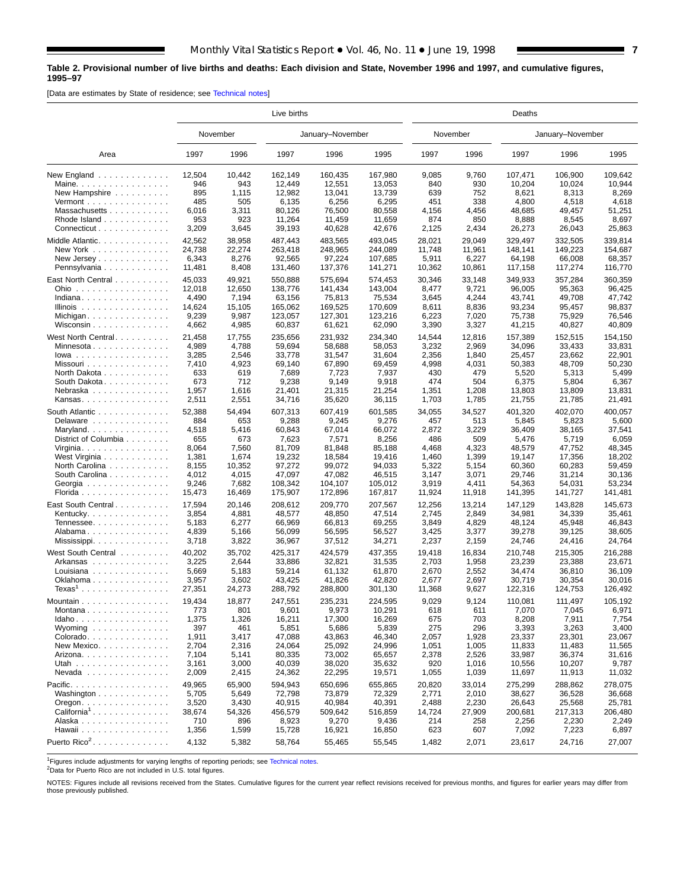#### <span id="page-6-0"></span>**Table 2. Provisional number of live births and deaths: Each division and State, November 1996 and 1997, and cumulative figures, 1995–97**

[Data are estimates by State of residence; see [Technical notes\]](#page-16-0)

|                                          | Live births |          |         |                  |         |          | Deaths |         |                  |         |  |  |  |  |
|------------------------------------------|-------------|----------|---------|------------------|---------|----------|--------|---------|------------------|---------|--|--|--|--|
|                                          |             | November |         | January-November |         | November |        |         | January-November |         |  |  |  |  |
| Area                                     | 1997        | 1996     | 1997    | 1996             | 1995    | 1997     | 1996   | 1997    | 1996             | 1995    |  |  |  |  |
| New England                              | 12,504      | 10,442   | 162.149 | 160,435          | 167,980 | 9,085    | 9,760  | 107,471 | 106,900          | 109.642 |  |  |  |  |
| Maine.                                   | 946         | 943      | 12,449  | 12,551           | 13,053  | 840      | 930    | 10,204  | 10,024           | 10,944  |  |  |  |  |
| New Hampshire                            | 895         | 1,115    | 12,982  | 13,041           | 13,739  | 639      | 752    | 8,621   | 8,313            | 8,269   |  |  |  |  |
| Vermont $\dots\dots\dots\dots\dots\dots$ | 485         | 505      | 6,135   | 6,256            | 6,295   | 451      | 338    | 4,800   | 4,518            | 4,618   |  |  |  |  |
| Massachusetts                            | 6,016       | 3,311    | 80,126  | 76,500           | 80,558  | 4,156    | 4,456  | 48,685  | 49,457           | 51,251  |  |  |  |  |
| Rhode Island                             | 953         | 923      | 11,264  | 11,459           | 11,659  | 874      | 850    | 8,888   | 8,545            | 8,697   |  |  |  |  |
| Connecticut                              | 3,209       | 3,645    | 39,193  | 40,628           | 42,676  | 2,125    | 2,434  | 26,273  | 26,043           | 25,863  |  |  |  |  |
| Middle Atlantic                          | 42,562      | 38,958   | 487.443 | 483,565          | 493,045 | 28,021   | 29,049 | 329,497 | 332,505          | 339,814 |  |  |  |  |
| New York                                 | 24,738      | 22,274   | 263,418 | 248,965          | 244,089 | 11,748   | 11,961 | 148,141 | 149,223          | 154,687 |  |  |  |  |
| New Jersey                               | 6,343       | 8,276    | 92,565  | 97,224           | 107.685 | 5,911    | 6,227  | 64,198  | 66,008           | 68,357  |  |  |  |  |
| Pennsylvania                             | 11,481      | 8,408    | 131,460 | 137,376          | 141,271 | 10,362   | 10,861 | 117,158 | 117,274          | 116,770 |  |  |  |  |
| East North Central                       | 45,033      | 49,921   | 550,888 | 575,694          | 574,453 | 30,346   | 33,148 | 349,933 | 357,284          | 360,359 |  |  |  |  |
| Ohio                                     | 12,018      | 12,650   | 138,776 | 141,434          | 143,004 | 8,477    | 9,721  | 96,005  | 95,363           | 96,425  |  |  |  |  |
| Indiana                                  | 4,490       | 7,194    | 63,156  | 75,813           | 75,534  | 3,645    | 4,244  | 43,741  | 49,708           | 47,742  |  |  |  |  |
| Illinois                                 | 14,624      | 15,105   | 165,062 | 169,525          | 170,609 | 8,611    | 8,836  | 93,234  | 95,457           | 98,837  |  |  |  |  |
| Michigan                                 | 9,239       | 9,987    | 123,057 | 127,301          | 123,216 | 6,223    | 7,020  | 75,738  | 75,929           | 76,546  |  |  |  |  |
| Wisconsin $\ldots$                       | 4,662       | 4,985    | 60,837  | 61,621           | 62,090  | 3,390    | 3,327  | 41,215  | 40,827           | 40,809  |  |  |  |  |
| West North Central.                      | 21,458      | 17,755   | 235,656 | 231,932          | 234,340 | 14,544   | 12,816 | 157,389 | 152,515          | 154,150 |  |  |  |  |
| Minnesota                                | 4,989       | 4,788    | 59,694  | 58,688           | 58,053  | 3,232    | 2,969  | 34,096  | 33,433           | 33,831  |  |  |  |  |
| $lowa$                                   | 3,285       | 2,546    | 33,778  | 31,547           | 31,604  | 2,356    | 1,840  | 25,457  | 23.662           | 22,901  |  |  |  |  |
| Missouri                                 | 7,410       | 4,923    | 69,140  | 67,890           | 69,459  | 4,998    | 4,031  | 50,383  | 48,709           | 50,230  |  |  |  |  |
| North Dakota                             | 633         | 619      | 7,689   | 7,723            | 7,937   | 430      | 479    | 5,520   | 5,313            | 5,499   |  |  |  |  |
| South Dakota                             | 673         | 712      | 9,238   | 9,149            | 9,918   | 474      | 504    | 6,375   | 5,804            | 6,367   |  |  |  |  |
| Nebraska                                 | 1,957       | 1,616    | 21,401  | 21,315           | 21,254  | 1,351    | 1,208  | 13,803  | 13,809           | 13,831  |  |  |  |  |
| Kansas.                                  | 2,511       | 2,551    | 34,716  | 35,620           | 36,115  | 1,703    | 1,785  | 21,755  | 21,785           | 21,491  |  |  |  |  |
| South Atlantic                           | 52,388      | 54,494   | 607,313 | 607,419          | 601,585 | 34,055   | 34,527 | 401,320 | 402,070          | 400,057 |  |  |  |  |
| Delaware                                 | 884         | 653      | 9,288   | 9,245            | 9,276   | 457      | 513    | 5,845   | 5,823            | 5,600   |  |  |  |  |
| Maryland                                 | 4,518       | 5,416    | 60,843  | 67,014           | 66,072  | 2,872    | 3,229  | 36,409  | 38,165           | 37,541  |  |  |  |  |
| District of Columbia                     | 655         | 673      | 7,623   | 7,571            | 8,256   | 486      | 509    | 5,476   | 5,719            | 6,059   |  |  |  |  |
| Virginia                                 | 8,064       | 7,560    | 81,709  | 81,848           | 85,188  | 4,468    | 4,323  | 48,579  | 47,752           | 48,345  |  |  |  |  |
| West Virginia                            | 1,381       | 1,674    | 19,232  | 18,584           | 19,416  | 1,460    | 1,399  | 19,147  | 17,356           | 18,202  |  |  |  |  |
| North Carolina                           | 8,155       | 10,352   | 97,272  | 99,072           | 94,033  | 5,322    | 5,154  | 60,360  | 60,283           | 59,459  |  |  |  |  |
| South Carolina                           | 4,012       | 4,015    | 47,097  | 47,082           | 46,515  | 3,147    | 3,071  | 29,746  | 31,214           | 30,136  |  |  |  |  |
| Georgia                                  | 9,246       | 7,682    | 108,342 | 104,107          | 105,012 | 3,919    | 4,411  | 54,363  | 54,031           | 53,234  |  |  |  |  |
| Florida                                  | 15,473      | 16,469   | 175,907 | 172,896          | 167,817 | 11,924   | 11,918 | 141,395 | 141,727          | 141,481 |  |  |  |  |
| East South Central.                      | 17,594      | 20,146   | 208,612 | 209,770          | 207,567 | 12,256   | 13,214 | 147,129 | 143,828          | 145,673 |  |  |  |  |
| Kentucky.                                | 3,854       | 4,881    | 48,577  | 48,850           | 47,514  | 2,745    | 2,849  | 34,981  | 34,339           | 35,461  |  |  |  |  |
| Tennessee                                | 5,183       | 6,277    | 66,969  | 66,813           | 69,255  | 3,849    | 4,829  | 48,124  | 45,948           | 46,843  |  |  |  |  |
| Alabama                                  | 4,839       | 5,166    | 56,099  | 56,595           | 56,527  | 3,425    | 3,377  | 39,278  | 39,125           | 38,605  |  |  |  |  |
| Mississippi                              | 3,718       | 3,822    | 36,967  | 37,512           | 34,271  | 2,237    | 2,159  | 24,746  | 24,416           | 24,764  |  |  |  |  |
| West South Central                       | 40,202      | 35,702   | 425,317 | 424,579          | 437,355 | 19,418   | 16,834 | 210,748 | 215,305          | 216,288 |  |  |  |  |
| Arkansas                                 | 3,225       | 2,644    | 33,886  | 32,821           | 31,535  | 2,703    | 1,958  | 23,239  | 23,388           | 23,671  |  |  |  |  |
| Louisiana $\ldots \ldots \ldots \ldots$  | 5,669       | 5,183    | 59,214  | 61,132           | 61,870  | 2,670    | 2,552  | 34,474  | 36,810           | 36,109  |  |  |  |  |
| Oklahoma                                 | 3,957       | 3,602    | 43,425  | 41,826           | 42.820  | 2,677    | 2,697  | 30,719  | 30,354           | 30,016  |  |  |  |  |
| $Texas1$                                 | 27,351      | 24,273   | 288,792 | 288,800          | 301,130 | 11,368   | 9,627  | 122,316 | 124,753          | 126,492 |  |  |  |  |
| Mountain                                 | 19,434      | 18,877   | 247,551 | 235,231          | 224,595 | 9,029    | 9,124  | 110,081 | 111,497          | 105,192 |  |  |  |  |
| Montana                                  | 773         | 801      | 9,601   | 9,973            | 10,291  | 618      | 611    | 7,070   | 7,045            | 6,971   |  |  |  |  |
| Idaho                                    | 1,375       | 1,326    | 16,211  | 17,300           | 16,269  | 675      | 703    | 8,208   | 7,911            | 7,754   |  |  |  |  |
| Wyoming $\ldots \ldots \ldots \ldots$    | 397         | 461      | 5,851   | 5,686            | 5,839   | 275      | 296    | 3,393   | 3,263            | 3,400   |  |  |  |  |
| Colorado                                 | 1,911       | 3,417    | 47,088  | 43,863           | 46,340  | 2,057    | 1,928  | 23,337  | 23,301           | 23,067  |  |  |  |  |
| New Mexico                               | 2,704       | 2,316    | 24,064  | 25,092           | 24,996  | 1,051    | 1,005  | 11,833  | 11,483           | 11,565  |  |  |  |  |
| Arizona                                  | 7,104       | 5,141    | 80,335  | 73,002           | 65,657  | 2,378    | 2,526  | 33,987  | 36,374           | 31,616  |  |  |  |  |
| Utah                                     | 3,161       | 3,000    | 40,039  | 38,020           | 35,632  | 920      | 1,016  | 10,556  | 10,207           | 9,787   |  |  |  |  |
| Nevada                                   | 2,009       | 2,415    | 24,362  | 22,295           | 19,571  | 1,055    | 1,039  | 11,697  | 11,913           | 11,032  |  |  |  |  |
| Pacific.                                 | 49,965      | 65,900   | 594,943 | 650,696          | 655,865 | 20,820   | 33,014 | 275,299 | 288,862          | 278,075 |  |  |  |  |
| Washington                               | 5,705       | 5,649    | 72,798  | 73,879           | 72,329  | 2,771    | 2,010  | 38,627  | 36,528           | 36,668  |  |  |  |  |
| $O$ regon. $\ldots$ .                    | 3,520       | 3,430    | 40,915  | 40,984           | 40,391  | 2,488    | 2,230  | 26,643  | 25,568           | 25,781  |  |  |  |  |
| California <sup>1</sup> .                | 38,674      | 54,326   | 456,579 | 509,642          | 516,859 | 14,724   | 27,909 | 200,681 | 217,313          | 206,480 |  |  |  |  |
| Alaska                                   | 710         | 896      | 8,923   | 9,270            | 9,436   | 214      | 258    | 2,256   | 2,230            | 2,249   |  |  |  |  |
| Hawaii                                   | 1,356       | 1,599    | 15,728  | 16,921           | 16,850  | 623      | 607    | 7,092   | 7,223            | 6,897   |  |  |  |  |
| Puerto Rico <sup>2</sup> .               | 4,132       | 5,382    | 58,764  | 55,465           | 55,545  | 1,482    | 2,071  | 23,617  | 24,716           | 27,007  |  |  |  |  |

<sup>1</sup>Figures include adjustments for varying lengths of reporting periods; see [Technical notes.](#page-16-0)

2Data for Puerto Rico are not included in U.S. total figures.

NOTES: Figures include all revisions received from the States. Cumulative figures for the current year reflect revisions received for previous months, and figures for earlier years may differ from those previously published.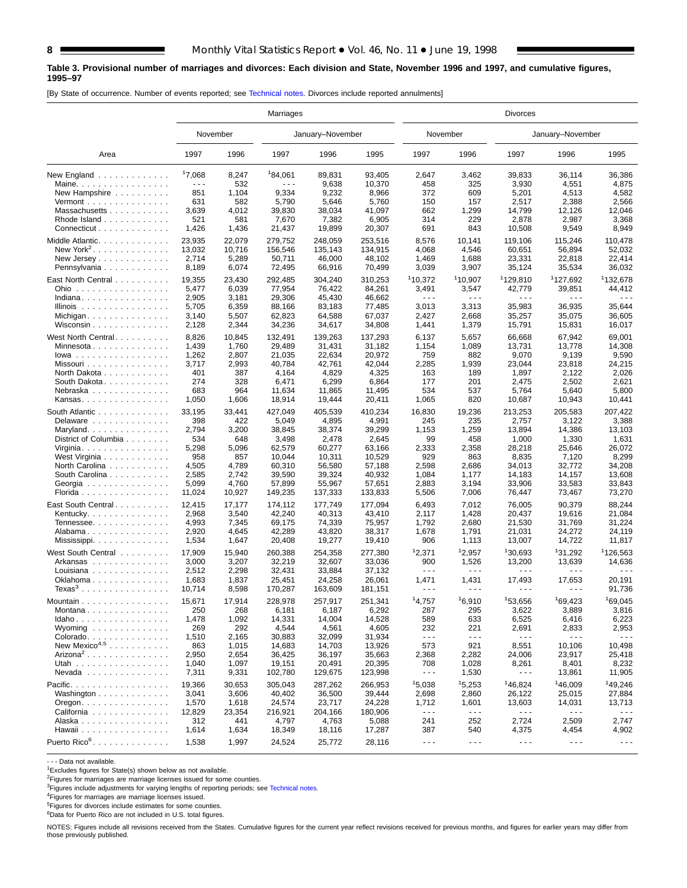#### **Table 3. Provisional number of marriages and divorces: Each division and State, November 1996 and 1997, and cumulative figures, 1995–97**

[By State of occurrence. Number of events reported; see [Technical notes. Di](#page-16-0)vorces include reported annulments]

|                                          | Marriages |          |         |                  |         | Divorces             |                      |                      |                      |                      |  |  |  |
|------------------------------------------|-----------|----------|---------|------------------|---------|----------------------|----------------------|----------------------|----------------------|----------------------|--|--|--|
|                                          |           | November |         | January-November |         | November             |                      |                      | January-November     |                      |  |  |  |
| Area                                     | 1997      | 1996     | 1997    | 1996             | 1995    | 1997                 | 1996                 | 1997                 | 1996                 | 1995                 |  |  |  |
| New England                              | 17,068    | 8,247    | 184,061 | 89,831           | 93,405  | 2,647                | 3,462                | 39,833               | 36,114               | 36,386               |  |  |  |
| Maine.                                   | $- - -$   | 532      | .       | 9,638            | 10,370  | 458                  | 325                  | 3,930                | 4,551                | 4,875                |  |  |  |
| New Hampshire                            | 851       | 1,104    | 9,334   | 9,232            | 8,966   | 372                  | 609                  | 5,201                | 4,513                | 4,582                |  |  |  |
| Vermont $\dots\dots\dots\dots\dots\dots$ | 631       | 582      | 5,790   | 5,646            | 5,760   | 150                  | 157                  | 2,517                | 2,388                | 2,566                |  |  |  |
| Massachusetts                            | 3,639     | 4,012    | 39,830  | 38,034           | 41,097  | 662                  | 1,299                | 14,799               | 12,126               | 12,046               |  |  |  |
| Rhode Island                             | 521       | 581      | 7,670   | 7,382            | 6,905   | 314                  | 229                  | 2,878                | 2,987                | 3,368                |  |  |  |
| Connecticut                              | 1,426     | 1,436    | 21,437  | 19,899           | 20,307  | 691                  | 843                  | 10,508               | 9,549                | 8,949                |  |  |  |
| Middle Atlantic.                         | 23,935    | 22,079   | 279,752 | 248,059          | 253,516 | 8,576                | 10,141               | 119,106              | 115,246              | 110,478              |  |  |  |
| New York <sup>2</sup><br>.               | 13,032    | 10,716   | 156,546 | 135,143          | 134,915 | 4,068                | 4,546                | 60,651               | 56,894               | 52,032               |  |  |  |
|                                          | 2,714     | 5,289    | 50,711  | 46,000           | 48,102  | 1,469                | 1,688                | 23,331               | 22,818               | 22,414               |  |  |  |
| Pennsylvania                             | 8,189     | 6,074    | 72,495  | 66,916           | 70,499  | 3,039                | 3,907                | 35,124               | 35,534               | 36,032               |  |  |  |
| East North Central                       | 19,355    | 23,430   | 292,485 | 304,240          | 310,253 | 110,372              | 110,907              | 1129,810             | <sup>1</sup> 127,692 | 132,678              |  |  |  |
| Ohio<br>.                                | 5,477     | 6,039    | 77,954  | 76,422           | 84,261  | 3,491                | 3,547                | 42,779               | 39,851               | 44,412               |  |  |  |
| Indiana                                  | 2,905     | 3,181    | 29,306  | 45,430           | 46,662  | $\sim$ $\sim$ $\sim$ | $\sim$ $\sim$ $\sim$ | $\sim$ $\sim$ $\sim$ | .                    | - - -                |  |  |  |
| Illinois                                 | 5,705     | 6,359    | 88,166  | 83,183           | 77,485  | 3,013                | 3,313                | 35,983               | 36,935               | 35,644               |  |  |  |
|                                          | 3,140     | 5,507    | 62,823  | 64,588           | 67,037  | 2,427                | 2,668                | 35,257               | 35,075               | 36,605               |  |  |  |
| Wisconsin                                | 2,128     | 2,344    | 34,236  | 34,617           | 34,808  | 1,441                | 1,379                | 15,791               | 15,831               | 16,017               |  |  |  |
|                                          |           |          |         |                  |         |                      |                      |                      |                      |                      |  |  |  |
| West North Central                       | 8,826     | 10,845   | 132,491 | 139,263          | 137,293 | 6,137                | 5,657                | 66,668               | 67,942               | 69,001               |  |  |  |
| Minnesota                                | 1,439     | 1,760    | 29.489  | 31.431           | 31,182  | 1,154                | 1,089                | 13,731               | 13,778               | 14,308               |  |  |  |
| $lowa$                                   | 1,262     | 2,807    | 21,035  | 22,634           | 20,972  | 759                  | 882                  | 9,070                | 9,139                | 9,590                |  |  |  |
| Missouri                                 | 3,717     | 2,993    | 40,784  | 42,761           | 42,044  | 2,285                | 1,939                | 23,044               | 23,818               | 24,215               |  |  |  |
| North Dakota                             | 401       | 387      | 4,164   | 4,829            | 4,325   | 163                  | 189                  | 1,897                | 2,122                | 2,026                |  |  |  |
| South Dakota.                            | 274       | 328      | 6,471   | 6,299            | 6,864   | 177                  | 201                  | 2,475                | 2,502                | 2,621                |  |  |  |
| Nebraska                                 | 683       | 964      | 11,634  | 11,865           | 11,495  | 534                  | 537                  | 5,764                | 5,640                | 5,800                |  |  |  |
| Kansas                                   | 1,050     | 1,606    | 18,914  | 19,444           | 20,411  | 1,065                | 820                  | 10,687               | 10,943               | 10,441               |  |  |  |
| South Atlantic                           | 33,195    | 33,441   | 427,049 | 405,539          | 410,234 | 16,830               | 19,236               | 213,253              | 205,583              | 207,422              |  |  |  |
| Delaware                                 | 398       | 422      | 5,049   | 4,895            | 4,991   | 245                  | 235                  | 2,757                | 3,122                | 3,388                |  |  |  |
| Maryland                                 | 2,794     | 3,200    | 38,845  | 38,374           | 39,299  | 1,153                | 1,259                | 13,894               | 14,386               | 13.103               |  |  |  |
| District of Columbia                     | 534       | 648      | 3,498   | 2,478            | 2,645   | 99                   | 458                  | 1,000                | 1,330                | 1,631                |  |  |  |
| Virginia. $\ldots$ .                     | 5,298     | 5,096    | 62,579  | 60,277           | 63,166  | 2,333                | 2,358                | 28,218               | 25,646               | 26,072               |  |  |  |
| West Virginia                            | 958       | 857      | 10,044  | 10,311           | 10,529  | 929                  | 863                  | 8,835                | 7,120                | 8,299                |  |  |  |
| North Carolina                           | 4,505     | 4,789    | 60,310  | 56,580           | 57,188  | 2,598                | 2,686                | 34,013               | 32,772               | 34,208               |  |  |  |
| South Carolina                           | 2,585     | 2,742    | 39,590  | 39,324           | 40,932  | 1,084                | 1,177                | 14,183               | 14,157               | 13,608               |  |  |  |
| Georgia                                  | 5,099     | 4,760    | 57,899  | 55,967           | 57,651  | 2,883                | 3,194                | 33,906               | 33,583               | 33,843               |  |  |  |
| Florida                                  | 11,024    | 10,927   | 149,235 | 137,333          | 133,833 | 5,506                | 7,006                | 76,447               | 73,467               | 73,270               |  |  |  |
| East South Central                       | 12,415    | 17,177   | 174,112 | 177,749          | 177,094 | 6,493                | 7,012                | 76,005               | 90,379               | 88,244               |  |  |  |
| Kentucky                                 | 2,968     | 3,540    | 42,240  | 40,313           | 43,410  | 2,117                | 1,428                | 20,437               | 19,616               | 21,084               |  |  |  |
| Tennessee                                | 4,993     | 7,345    | 69,175  | 74,339           | 75,957  | 1,792                | 2,680                | 21,530               | 31,769               | 31,224               |  |  |  |
| Alabama                                  | 2,920     | 4,645    | 42,289  | 43,820           | 38,317  | 1,678                | 1,791                | 21,031               | 24,272               | 24,119               |  |  |  |
| Mississippi                              | 1,534     | 1,647    | 20,408  | 19,277           | 19,410  | 906                  | 1,113                | 13,007               | 14,722               | 11,817               |  |  |  |
|                                          |           |          |         |                  |         |                      |                      |                      |                      |                      |  |  |  |
| West South Central                       | 17,909    | 15,940   | 260,388 | 254,358          | 277,380 | 12,371               | 12,957               | <sup>1</sup> 30,693  | <sup>1</sup> 31,292  | <sup>1</sup> 126,563 |  |  |  |
| Arkansas                                 | 3,000     | 3,207    | 32,219  | 32,607           | 33,036  | 900                  | 1,526                | 13,200               | 13,639               | 14,636               |  |  |  |
| Louisiana                                | 2,512     | 2,298    | 32,431  | 33,884           | 37,132  | $\sim$ $\sim$ $\sim$ | $\sim$ $\sim$ $\sim$ | $\sim$ $\sim$ $\sim$ | .                    | .                    |  |  |  |
| Oklahoma                                 | 1,683     | 1,837    | 25,451  | 24,258           | 26,061  | 1,471                | 1,431                | 17,493               | 17,653               | 20,191               |  |  |  |
| $Texas3$                                 | 10,714    | 8,598    | 170,287 | 163,609          | 181,151 | $\sim$ $\sim$ $\sim$ | $\sim$ $\sim$ $\sim$ | $\sim$ $\sim$ $\sim$ | $- - -$              | 91,736               |  |  |  |
| Mountain                                 | 15,671    | 17,914   | 228,978 | 257,917          | 251,341 | 14,757               | 16,910               | 153.656              | 169,423              | <sup>1</sup> 69,045  |  |  |  |
| Montana $\ldots \ldots \ldots \ldots$    | 250       | 268      | 6,181   | 6,187            | 6,292   | 287                  | 295                  | 3,622                | 3,889                | 3,816                |  |  |  |
| Idaho                                    | 1,478     | 1,092    | 14,331  | 14,004           | 14,528  | 589                  | 633                  | 6,525                | 6,416                | 6,223                |  |  |  |
| Wyoming                                  | 269       | 292      | 4,544   | 4,561            | 4,605   | 232                  | 221                  | 2,691                | 2,833                | 2,953                |  |  |  |
| Colorado                                 | 1,510     | 2,165    | 30,883  | 32,099           | 31,934  | $\sim$ $\sim$ $\sim$ | $\sim$ $\sim$ $\sim$ | $\sim$ $\sim$ $\sim$ | $\sim$ $\sim$ $\sim$ | $- - -$              |  |  |  |
| New Mexico <sup>4,5</sup>                | 863       | 1,015    | 14,683  | 14,703           | 13,926  | 573                  | 921                  | 8,551                | 10,106               | 10,498               |  |  |  |
| Arizona <sup>2</sup>                     | 2,950     | 2,654    | 36,425  | 36,197           | 35,663  | 2,368                | 2,282                | 24,006               | 23,917               | 25,418               |  |  |  |
| Utah                                     | 1,040     | 1,097    | 19,151  | 20,491           | 20,395  | 708                  | 1,028                | 8,261                | 8,401                | 8,232                |  |  |  |
| $N$ evada                                | 7,311     | 9,331    | 102,780 | 129,675          | 123,998 | $\sim$ $\sim$ $\sim$ | 1,530                | $- - -$              | 13,861               | 11,905               |  |  |  |
| Pacific.                                 | 19,366    | 30,653   | 305,043 | 287,262          | 266,953 | 15,038               | 15,253               | 146,824              | <sup>1</sup> 46,009  | 149,246              |  |  |  |
| Washington                               | 3,041     | 3,606    | 40,402  | 36,500           | 39,444  | 2,698                | 2,860                | 26,122               | 25,015               | 27,884               |  |  |  |
| Oregon. $\ldots$                         | 1,570     | 1,618    | 24,574  | 23,717           | 24,228  | 1,712                | 1,601                | 13,603               | 14,031               | 13,713               |  |  |  |
| California                               | 12,829    | 23,354   | 216,921 | 204,166          | 180,906 | $\sim$ $\sim$ $\sim$ | $\sim$ $\sim$ $\sim$ | $- - -$              | $\sim$ $\sim$ $\sim$ | $\sim$ $\sim$ $\sim$ |  |  |  |
| Alaska                                   | 312       | 441      | 4,797   | 4,763            | 5,088   | 241                  | 252                  | 2,724                | 2,509                | 2,747                |  |  |  |
| Hawaii                                   | 1,614     | 1,634    | 18,349  | 18,116           | 17,287  | 387                  | 540                  | 4,375                | 4,454                | 4,902                |  |  |  |
|                                          |           |          |         |                  |         |                      |                      |                      |                      |                      |  |  |  |
| Puerto Rico <sup>6</sup> .               | 1,538     | 1,997    | 24,524  | 25,772           | 28,116  | $\sim$ $\sim$ $\sim$ | $\sim$ $\sim$ $\sim$ | $\sim$ $\sim$ $\sim$ | $\sim$ $\sim$ $\sim$ | $\sim$ $\sim$ $\sim$ |  |  |  |

- - - Data not available.

<sup>1</sup>Excludes figures for State(s) shown below as not available.

<sup>2</sup>Figures for marriages are marriage licenses issued for some counties.<br><sup>3</sup>Figures include adjustments for varying lengths of reporting periods; see [Technical notes.](#page-16-0)

4Figures for marriages are marriage licenses issued.

 $5$ Figures for divorces include estimates for some counties.

6Data for Puerto Rico are not included in U.S. total figures.

NOTES: Figures include all revisions received from the States. Cumulative figures for the current year reflect revisions received for previous months, and figures for earlier years may differ from those previously published.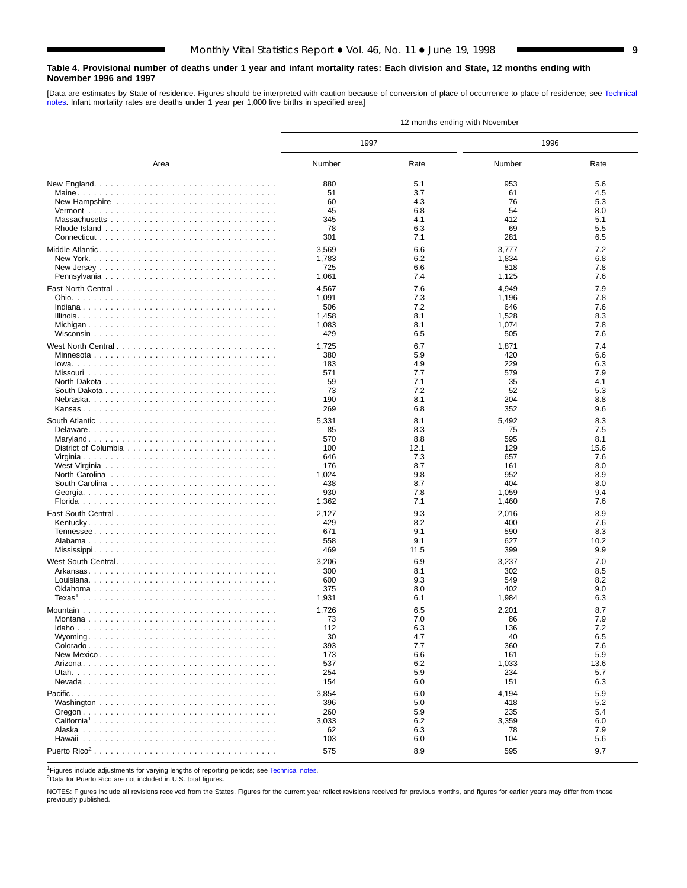#### <span id="page-8-0"></span>**Table 4. Provisional number of deaths under 1 year and infant mortality rates: Each division and State, 12 months ending with November 1996 and 1997**

[Data are estimates by State of residence. Figures should be interpreted with caution because of conversion of place of occurrence to place of residence; see [Technical](#page-16-0) [notes. Infa](#page-16-0)nt mortality rates are deaths under 1 year per 1,000 live births in specified area]

|                         | 12 months ending with November |            |              |            |  |  |  |  |  |  |
|-------------------------|--------------------------------|------------|--------------|------------|--|--|--|--|--|--|
|                         | 1997                           |            | 1996         |            |  |  |  |  |  |  |
| Area                    | Number                         | Rate       | Number       | Rate       |  |  |  |  |  |  |
|                         | 880                            | 5.1        | 953          | 5.6        |  |  |  |  |  |  |
|                         | 51                             | 3.7        | 61           | 4.5        |  |  |  |  |  |  |
|                         | 60                             | 4.3        | 76           | 5.3        |  |  |  |  |  |  |
|                         | 45                             | 6.8        | 54           | 8.0        |  |  |  |  |  |  |
|                         | 345                            | 4.1        | 412          | 5.1        |  |  |  |  |  |  |
|                         | 78                             | 6.3        | 69           | 5.5        |  |  |  |  |  |  |
|                         | 301                            | 7.1        | 281          | 6.5        |  |  |  |  |  |  |
|                         | 3,569                          | 6.6        | 3,777        | 7.2        |  |  |  |  |  |  |
|                         | 1,783                          | 6.2        | 1,834        | 6.8        |  |  |  |  |  |  |
|                         | 725                            | 6.6        | 818          | 7.8        |  |  |  |  |  |  |
|                         | 1,061                          | 7.4        | 1,125        | 7.6        |  |  |  |  |  |  |
|                         | 4,567                          | 7.6        | 4,949        | 7.9        |  |  |  |  |  |  |
|                         | 1,091                          | 7.3        | 1,196        | 7.8        |  |  |  |  |  |  |
|                         | 506                            | 7.2        | 646          | 7.6        |  |  |  |  |  |  |
|                         | 1,458                          | 8.1        | 1,528        | 8.3        |  |  |  |  |  |  |
|                         | 1,083<br>429                   | 8.1<br>6.5 | 1,074<br>505 | 7.8<br>7.6 |  |  |  |  |  |  |
|                         |                                |            |              |            |  |  |  |  |  |  |
| West North Central      | 1,725                          | 6.7        | 1,871        | 7.4        |  |  |  |  |  |  |
|                         | 380                            | 5.9        | 420          | 6.6        |  |  |  |  |  |  |
|                         | 183<br>571                     | 4.9<br>7.7 | 229<br>579   | 6.3<br>7.9 |  |  |  |  |  |  |
|                         | 59                             | 7.1        | 35           | 4.1        |  |  |  |  |  |  |
|                         | 73                             | 7.2        | 52           | 5.3        |  |  |  |  |  |  |
|                         | 190                            | 8.1        | 204          | 8.8        |  |  |  |  |  |  |
|                         | 269                            | 6.8        | 352          | 9.6        |  |  |  |  |  |  |
|                         | 5,331                          | 8.1        | 5,492        | 8.3        |  |  |  |  |  |  |
|                         | 85                             | 8.3        | 75           | 7.5        |  |  |  |  |  |  |
|                         | 570                            | 8.8        | 595          | 8.1        |  |  |  |  |  |  |
|                         | 100                            | 12.1       | 129          | 15.6       |  |  |  |  |  |  |
|                         | 646                            | 7.3        | 657          | 7.6        |  |  |  |  |  |  |
|                         | 176                            | 8.7        | 161          | 8.0        |  |  |  |  |  |  |
|                         | 1,024                          | 9.8        | 952          | 8.9        |  |  |  |  |  |  |
|                         | 438                            | 8.7        | 404          | 8.0        |  |  |  |  |  |  |
|                         | 930                            | 7.8        | 1,059        | 9.4        |  |  |  |  |  |  |
|                         | 1,362                          | 7.1        | 1,460        | 7.6        |  |  |  |  |  |  |
|                         | 2,127                          | 9.3        | 2,016        | 8.9        |  |  |  |  |  |  |
|                         | 429                            | 8.2        | 400          | 7.6        |  |  |  |  |  |  |
|                         | 671                            | 9.1        | 590          | 8.3        |  |  |  |  |  |  |
|                         | 558                            | 9.1        | 627          | 10.2       |  |  |  |  |  |  |
|                         | 469                            | 11.5       | 399          | 9.9        |  |  |  |  |  |  |
|                         | 3,206                          | 6.9        | 3,237        | 7.0        |  |  |  |  |  |  |
|                         | 300                            | 8.1        | 302          | 8.5        |  |  |  |  |  |  |
|                         | 600<br>375                     | 9.3        | 549          | 8.2<br>9.0 |  |  |  |  |  |  |
|                         | 1,931                          | 8.0<br>6.1 | 402<br>1,984 | 6.3        |  |  |  |  |  |  |
|                         |                                |            |              |            |  |  |  |  |  |  |
|                         | 1,726                          | 6.5        | 2,201        | 8.7        |  |  |  |  |  |  |
| Montana                 | 73<br>112                      | 7.0        | 86           | 7.9        |  |  |  |  |  |  |
|                         | 30                             | 6.3<br>4.7 | 136<br>40    | 7.2<br>6.5 |  |  |  |  |  |  |
|                         | 393                            | 7.7        | 360          | 7.6        |  |  |  |  |  |  |
|                         | 173                            | 6.6        | 161          | 5.9        |  |  |  |  |  |  |
|                         | 537                            | 6.2        | 1,033        | 13.6       |  |  |  |  |  |  |
|                         | 254                            | 5.9        | 234          | 5.7        |  |  |  |  |  |  |
|                         | 154                            | 6.0        | 151          | 6.3        |  |  |  |  |  |  |
|                         | 3,854                          | 6.0        | 4,194        | 5.9        |  |  |  |  |  |  |
|                         | 396                            | 5.0        | 418          | 5.2        |  |  |  |  |  |  |
|                         | 260                            | 5.9        | 235          | 5.4        |  |  |  |  |  |  |
| California <sup>1</sup> | 3,033                          | 6.2        | 3,359        | 6.0        |  |  |  |  |  |  |
|                         | 62                             | 6.3        | 78           | 7.9        |  |  |  |  |  |  |
|                         | 103                            | 6.0        | 104          | 5.6        |  |  |  |  |  |  |
|                         | 575                            | 8.9        | 595          | 9.7        |  |  |  |  |  |  |

<sup>1</sup>Figures include adjustments for varying lengths of reporting periods; see [Technical notes.](#page-16-0)

2Data for Puerto Rico are not included in U.S. total figures.

NOTES: Figures include all revisions received from the States. Figures for the current year reflect revisions received for previous months, and figures for earlier years may differ from those previously published.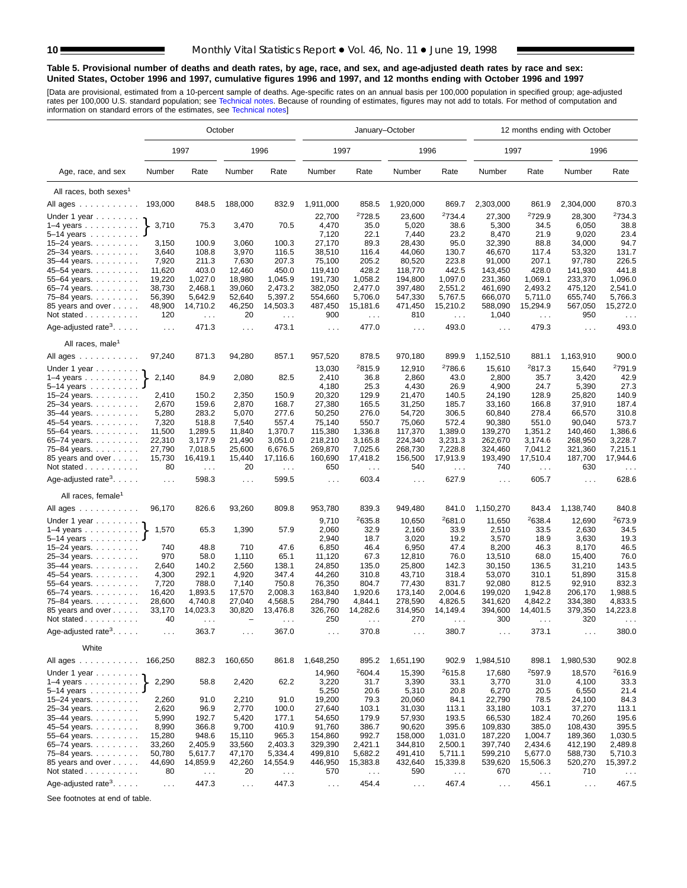#### <span id="page-9-0"></span>**Table 5. Provisional number of deaths and death rates, by age, race, and sex, and age-adjusted death rates by race and sex: United States, October 1996 and 1997, cumulative figures 1996 and 1997, and 12 months ending with October 1996 and 1997**

[Data are provisional, estimated from a 10-percent sample of deaths. Age-specific rates on an annual basis per 100,000 population in specified group; age-adjusted<br>rates per 100,000 U.S. standard population; see Technical n

|                                                          | October        |                      |                |                      |                     |                      | January-October             |                             | 12 months ending with October |                             |                      |                             |  |
|----------------------------------------------------------|----------------|----------------------|----------------|----------------------|---------------------|----------------------|-----------------------------|-----------------------------|-------------------------------|-----------------------------|----------------------|-----------------------------|--|
|                                                          |                | 1997                 |                | 1996                 | 1997                |                      | 1996                        |                             | 1997                          |                             | 1996                 |                             |  |
| Age, race, and sex                                       | Number         | Rate                 | Number         | Rate                 | Number              | Rate                 | Number                      | Rate                        | Number                        | Rate                        | Number               | Rate                        |  |
| All races, both sexes <sup>1</sup>                       |                |                      |                |                      |                     |                      |                             |                             |                               |                             |                      |                             |  |
| All ages                                                 | 193,000        | 848.5                | 188,000        | 832.9                | 1,911,000           | 858.5                | 1,920,000                   | 869.7                       | 2,303,000                     | 861.9                       | 2,304,000            | 870.3                       |  |
|                                                          |                |                      |                |                      | 22,700              | 2728.5               | 23,600                      | 2734.4                      |                               | <sup>2</sup> 729.9          |                      | 2734.3                      |  |
| Under 1 year<br>$1-4$ years $\ldots$ $\ldots$ $\ldots$ . | 3,710          | 75.3                 | 3,470          | 70.5                 | 4,470               | 35.0                 | 5,020                       | 38.6                        | 27,300<br>5,300               | 34.5                        | 28,300<br>6,050      | 38.8                        |  |
| 5–14 years $\ldots$                                      |                |                      |                |                      | 7,120               | 22.1                 | 7,440                       | 23.2                        | 8,470                         | 21.9                        | 9,020                | 23.4                        |  |
| 15-24 years.                                             | 3,150          | 100.9                | 3,060          | 100.3                | 27,170              | 89.3                 | 28,430                      | 95.0                        | 32,390                        | 88.8                        | 34,000               | 94.7                        |  |
| 25-34 years.                                             | 3,640          | 108.8                | 3,970          | 116.5                | 38,510              | 116.4                | 44,060                      | 130.7                       | 46,670                        | 117.4                       | 53,320               | 131.7                       |  |
| 35-44 years.                                             | 7,920          | 211.3                | 7,630          | 207.3                | 75,100              | 205.2                | 80,520                      | 223.8                       | 91,000                        | 207.1                       | 97,780               | 226.5                       |  |
| 45-54 years.                                             | 11,620         | 403.0                | 12,460         | 450.0                | 119,410             | 428.2                | 118,770                     | 442.5                       | 143,450                       | 428.0                       | 141,930              | 441.8                       |  |
| 55-64 years.                                             | 19,220         | 1,027.0              | 18,980         | 1,045.9              | 191,730             | 1,058.2              | 194,800                     | 1,097.0                     | 231,360                       | 1,069.1                     | 233,370              | 1,096.0                     |  |
| 65-74 years.                                             | 38,730         | 2,468.1              | 39,060         | 2,473.2              | 382,050             | 2,477.0              | 397,480                     | 2,551.2                     | 461,690                       | 2,493.2                     | 475,120              | 2,541.0                     |  |
| 75-84 years.                                             | 56,390         | 5,642.9              | 52,640         | 5,397.2              | 554,660             | 5,706.0              | 547,330                     | 5,767.5                     | 666,070                       | 5,711.0                     | 655,740              | 5,766.3                     |  |
| 85 years and over                                        | 48,900         | 14,710.2             | 46,250         | 14,503.3             | 487,450             | 15,181.6             | 471,450                     | 15,210.2                    | 588,090                       | 15,294.9                    | 567,050              | 15,272.0                    |  |
| Not stated $\ldots$                                      | 120            | $\ldots$             | 20             | $\ldots$             | 900                 | $\ldots$             | 810                         | $\sim$ $\sim$               | 1,040                         | $\cdots$                    | 950                  | $\cdots$                    |  |
| Age-adjusted rate <sup>3</sup> . $\ldots$ .              | $\ldots$       | 471.3                | $\sim$ .       | 473.1                | $\cdots$            | 477.0                | $\sim 100$                  | 493.0                       | $\sim$ $\sim$ $\sim$          | 479.3                       | $\sim$ $\sim$ $\sim$ | 493.0                       |  |
| All races, male <sup>1</sup>                             |                |                      |                |                      |                     |                      |                             |                             |                               |                             |                      |                             |  |
| All ages                                                 | 97,240         | 871.3                | 94,280         | 857.1                | 957,520             | 878.5                | 970,180                     | 899.9                       | 1,152,510                     | 881.1                       | 1,163,910            | 900.0                       |  |
|                                                          |                |                      |                |                      |                     |                      |                             |                             |                               |                             |                      |                             |  |
| Under 1 year                                             |                |                      |                |                      | 13,030              | 2815.9               | 12,910                      | <sup>2</sup> 786.6          | 15,610                        | 2817.3                      | 15,640               | <sup>2</sup> 791.9          |  |
| $1-4$ years                                              | 2,140          | 84.9                 | 2,080          | 82.5                 | 2,410               | 36.8                 | 2,860                       | 43.0                        | 2,800                         | 35.7                        | 3,420                | 42.9                        |  |
| 5-14 years                                               |                |                      |                |                      | 4,180               | 25.3                 | 4,430                       | 26.9                        | 4,900                         | 24.7                        | 5,390                | 27.3                        |  |
| 15-24 years.                                             | 2,410          | 150.2                | 2,350          | 150.9                | 20,320              | 129.9                | 21,470                      | 140.5                       | 24,190                        | 128.9                       | 25,820               | 140.9                       |  |
| 25-34 years.                                             | 2,670          | 159.6                | 2,870          | 168.7                | 27,380              | 165.5<br>276.0       | 31,250                      | 185.7                       | 33,160                        | 166.8<br>278.4              | 37,910               | 187.4<br>310.8              |  |
| 35-44 years.                                             | 5,280<br>7,320 | 283.2<br>518.8       | 5,070<br>7,540 | 277.6<br>557.4       | 50,250<br>75,140    | 550.7                | 54,720<br>75,060            | 306.5<br>572.4              | 60,840<br>90,380              | 551.0                       | 66,570<br>90,040     | 573.7                       |  |
| 45–54 years<br>55-64 years.                              | 11,500         | 1,289.5              | 11,840         | 1,370.7              | 115,380             | 1,336.8              | 117,370                     | 1,389.0                     | 139,270                       | 1,351.2                     | 140,460              | 1,386.6                     |  |
| 65-74 years.                                             | 22,310         | 3,177.9              | 21,490         | 3,051.0              | 218,210             | 3.165.8              | 224,340                     | 3,231.3                     | 262,670                       | 3,174.6                     | 268,950              | 3,228.7                     |  |
| 75-84 years.                                             | 27,790         | 7,018.5              | 25,600         | 6,676.5              | 269,870             | 7,025.6              | 268,730                     | 7,228.8                     | 324,460                       | 7,041.2                     | 321,360              | 7,215.1                     |  |
| 85 years and over                                        | 15,730         | 16,419.1             | 15,440         | 17,116.6             | 160,690             | 17,418.2             | 156,500                     | 17,913.9                    | 193,490                       | 17,510.4                    | 187,700              | 17,944.6                    |  |
| Not stated                                               | 80             | $\sim$ $\sim$ $\sim$ | 20             | $\sim$ $\sim$ $\sim$ | 650                 | $\sim$ $\sim$ $\sim$ | 540                         | $\sim$ $\sim$               | 740                           | $\sim$ .                    | 630                  | $\sim$ $\sim$               |  |
| Age-adjusted rate <sup>3</sup> . $\ldots$ .              | $\ldots$       | 598.3                | $\ldots$       | 599.5                | $\sim$ .            | 603.4                | $\ldots$                    | 627.9                       | $\ldots$                      | 605.7                       | $\sim 10$            | 628.6                       |  |
| All races, female <sup>1</sup>                           |                |                      |                |                      |                     |                      |                             |                             |                               |                             |                      |                             |  |
| All ages                                                 | 96,170         | 826.6                | 93,260         | 809.8                | 953,780             | 839.3                | 949,480                     | 841.0                       | 1,150,270                     | 843.4                       | 1,138,740            | 840.8                       |  |
| Under 1 year                                             |                |                      |                |                      | 9,710               | <sup>2</sup> 635.8   | 10,650                      | <sup>2</sup> 681.0          | 11,650                        | 2638.4                      | 12,690               | <sup>2</sup> 673.9          |  |
| $1-4$ years                                              | 1,570          | 65.3                 | 1,390          | 57.9                 | 2,060               | 32.9                 | 2,160                       | 33.9                        | 2,510                         | 33.5                        | 2,630                | 34.5                        |  |
| 5-14 years                                               |                |                      |                |                      | 2,940               | 18.7                 | 3,020                       | 19.2                        | 3,570                         | 18.9                        | 3,630                | 19.3                        |  |
| 15-24 years.                                             | 740            | 48.8                 | 710            | 47.6                 | 6,850               | 46.4                 | 6,950                       | 47.4                        | 8,200                         | 46.3                        | 8,170                | 46.5                        |  |
| 25-34 years.                                             | 970            | 58.0                 | 1,110          | 65.1                 | 11,120              | 67.3                 | 12,810                      | 76.0                        | 13,510                        | 68.0                        | 15,400               | 76.0                        |  |
| 35-44 years.                                             | 2,640          | 140.2                | 2,560          | 138.1                | 24,850              | 135.0                | 25,800                      | 142.3                       | 30,150                        | 136.5                       | 31,210               | 143.5                       |  |
| 45–54 years                                              | 4,300          | 292.1                | 4,920          | 347.4                | 44,260              | 310.8                | 43,710                      | 318.4                       | 53,070                        | 310.1                       | 51,890               | 315.8                       |  |
| 55-64 years.                                             | 7,720          | 788.0                | 7,140          | 750.8                | 76,350              | 804.7                | 77,430                      | 831.7                       | 92,080                        | 812.5                       | 92,910               | 832.3                       |  |
| 65-74 years.                                             | 16,420         | 1,893.5              | 17,570         | 2,008.3              | 163,840             | 1,920.6              | 173,140                     | 2,004.6                     | 199,020                       | 1,942.8                     | 206,170              | 1,988.5                     |  |
| 75-84 years.                                             | 28,600         | 4,740.8              | 27,040         | 4,568.5              | 284,790             | 4,844.1              | 278,590                     | 4,826.5                     | 341,620                       | 4,842.2                     | 334,380              | 4,833.5                     |  |
| 85 years and over                                        | 33,170         | 14,023.3             | 30,820         | 13,476.8             | 326,760             | 14,282.6             | 314,950                     | 14,149.4                    | 394,600                       | 14,401.5                    | 379,350              | 14,223.8                    |  |
| Not stated $\ldots$<br>Age-adjusted rate <sup>3</sup> .  | 40<br>$\cdots$ | 363.7                |                | 367.0                | 250                 | 370.8                | 270<br>$\sim$ $\sim$ $\sim$ | 380.7                       | 300                           | 373.1                       | 320                  | 380.0                       |  |
| White                                                    |                |                      | $\sim$ $\sim$  |                      | $\cdots$            |                      |                             |                             | $\sim$ $\sim$ $\sim$          |                             | $\sim$ $\sim$ $\sim$ |                             |  |
|                                                          | 166,250        |                      |                |                      |                     |                      |                             |                             |                               |                             |                      |                             |  |
| All ages<br>Under 1 year $\ldots \ldots$                 |                | 882.3                | 160,650        | 861.8                | 1,648,250<br>14,960 | 895.2<br>2604.4      | 1,651,190<br>15,390         | 902.9<br><sup>2</sup> 615.8 | 1,984,510<br>17,680           | 898.1<br><sup>2</sup> 597.9 | 1,980,530<br>18,570  | 902.8<br><sup>2</sup> 616.9 |  |
| $1-4$ years<br>$5 - 14$ years                            | 2,290          | 58.8                 | 2,420          | 62.2                 | 3,220<br>5,250      | 31.7<br>20.6         | 3,390<br>5,310              | 33.1<br>20.8                | 3,770<br>6,270                | 31.0<br>20.5                | 4,100<br>6,550       | 33.3<br>21.4                |  |
| 15–24 years. $\ldots$                                    | 2,260          | 91.0                 | 2,210          | 91.0                 | 19,200              | 79.3                 | 20,060                      | 84.1                        | 22,790                        | 78.5                        | 24,100               | 84.3                        |  |
| 25-34 years.                                             | 2,620          | 96.9                 | 2,770          | 100.0                | 27,640              | 103.1                | 31,030                      | 113.1                       | 33,180                        | 103.1                       | 37,270               | 113.1                       |  |
| 35-44 years.                                             | 5,990          | 192.7                | 5,420          | 177.1                | 54,650              | 179.9                | 57,930                      | 193.5                       | 66,530                        | 182.4                       | 70,260               | 195.6                       |  |
| 45-54 years.                                             | 8,990          | 366.8                | 9,700          | 410.9                | 91,760              | 386.7                | 90,620                      | 395.6                       | 109,830                       | 385.0                       | 108,430              | 395.5                       |  |
| 55-64 years.                                             | 15,280         | 948.6                | 15,110         | 965.3                | 154,860             | 992.7                | 158,000                     | 1,031.0                     | 187,220                       | 1,004.7                     | 189,360              | 1,030.5                     |  |
| 65-74 years.                                             | 33,260         | 2,405.9              | 33,560         | 2,403.3              | 329,390             | 2,421.1              | 344,810                     | 2,500.1                     | 397,740                       | 2,434.6                     | 412,190              | 2,489.8                     |  |
| 75-84 years.                                             | 50,780         | 5,617.7              | 47,170         | 5,334.4              | 499,810             | 5,682.2              | 491,410                     | 5,711.1                     | 599,210                       | 5,677.0                     | 588,730              | 5,710.3                     |  |
| 85 years and over                                        | 44,690         | 14,859.9             | 42,260         | 14,554.9             | 446,950             | 15,383.8             | 432,640                     | 15,339.8                    | 539,620                       | 15,506.3                    | 520,270              | 15,397.2                    |  |
| Not stated                                               | 80             | $\sim$ $\sim$        | 20             | $\ldots$             | 570                 | $\epsilon \sim 1$    | 590                         | $\sim 100$                  | 670                           | $\sim$ $\sim$               | 710                  | $\sim$ $\sim$               |  |
| Age-adjusted rate <sup>3</sup> .                         | $\sim 100$     | 447.3                | $\ldots$       | 447.3                | $\sim 100$          | 454.4                | $\sim 100$                  | 467.4                       | $\sim 100$                    | 456.1                       | $\sim 10$ .          | 467.5                       |  |

See footnotes at end of table.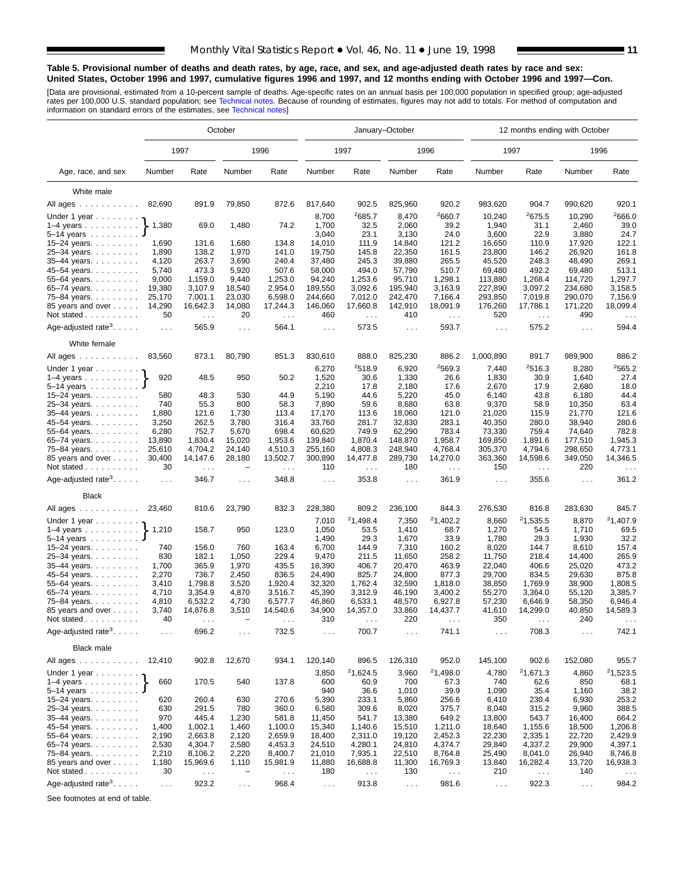#### **Table 5. Provisional number of deaths and death rates, by age, race, and sex, and age-adjusted death rates by race and sex: United States, October 1996 and 1997, cumulative figures 1996 and 1997, and 12 months ending with October 1996 and 1997—Con.**

[Data are provisional, estimated from a 10-percent sample of deaths. Age-specific rates on an annual basis per 100,000 population in specified group; age-adjusted<br>rates per 100,000 U.S. standard population; see Technical n

|                                                          | October          |                     |                          |                     |                    |                               | January-October    |                               | 12 months ending with October |                     |                    |                      |  |
|----------------------------------------------------------|------------------|---------------------|--------------------------|---------------------|--------------------|-------------------------------|--------------------|-------------------------------|-------------------------------|---------------------|--------------------|----------------------|--|
|                                                          |                  | 1997                |                          | 1996                |                    | 1997                          |                    | 1996                          | 1997                          |                     | 1996               |                      |  |
| Age, race, and sex                                       | Number           | Rate                | Number                   | Rate                | Number             | Rate                          | Number             | Rate                          | Number                        | Rate                | Number             | Rate                 |  |
| White male                                               |                  |                     |                          |                     |                    |                               |                    |                               |                               |                     |                    |                      |  |
| All ages                                                 | 82,690           | 891.9               | 79,850                   | 872.6               | 817,640            | 902.5                         | 825,960            | 920.2                         | 983,620                       | 904.7               | 990,620            | 920.1                |  |
|                                                          |                  |                     |                          |                     | 8,700              | 2685.7                        | 8,470              | 2660.7                        | 10,240                        | 2675.5              | 10,290             | 2666.0               |  |
| Under 1 year<br>$1-4$ years $\ldots$ $\ldots$ $\ldots$ . | 1,380            | 69.0                | 1,480                    | 74.2                | 1,700              | 32.5                          | 2,060              | 39.2                          | 1,940                         | 31.1                | 2,460              | 39.0                 |  |
| $5-14$ years                                             |                  |                     |                          |                     | 3,040              | 23.1                          | 3,130              | 24.0                          | 3,600                         | 22.9                | 3,880              | 24.7                 |  |
| 15-24 years.                                             | 1,690            | 131.6               | 1,680                    | 134.8               | 14,010             | 111.9                         | 14,840             | 121.2                         | 16,650                        | 110.9               | 17,920             | 122.1                |  |
| 25-34 years.                                             | 1,890            | 138.2               | 1,970                    | 141.0               | 19,750             | 145.8                         | 22,350             | 161.5                         | 23,800                        | 146.2               | 26,920             | 161.8                |  |
| 35-44 years.                                             | 4,120            | 263.7               | 3,690                    | 240.4               | 37,480             | 245.3                         | 39,880             | 265.5                         | 45,520                        | 248.3               | 48,490             | 269.1                |  |
| 45-54 years.                                             | 5,740            | 473.3               | 5,920                    | 507.6               | 58,000             | 494.0                         | 57,790             | 510.7                         | 69,480                        | 492.2               | 69,480             | 513.1                |  |
| 55-64 years.                                             | 9,000            | 1,159.0             | 9,440                    | 1,253.0             | 94,240             | 1,253.6                       | 95,710             | 1.298.1                       | 113,880                       | 1.268.4             | 114,720            | 1,297.7              |  |
| 65–74 years. $\ldots$                                    | 19,380           | 3,107.9             | 18,540                   | 2,954.0             | 189,550            | 3,092.6                       | 195,940            | 3,163.9                       | 227,890                       | 3,097.2             | 234,680            | 3,158.5              |  |
| 75-84 years.                                             | 25,170           | 7,001.1             | 23,030                   | 6,598.0             | 244,660            | 7,012.0                       | 242,470            | 7,166.4                       | 293,850                       | 7,019.8             | 290,070            | 7,156.9              |  |
| 85 years and over                                        | 14,290           | 16,642.3            | 14,080                   | 17,244.3            | 146,060            | 17,660.8                      | 142,910            | 18,091.9                      | 176,260                       | 17,786.1            | 171,220            | 18,099.4             |  |
| Not stated                                               | 50               | $\sim$ $\sim$       | 20                       | $\sim$ $\sim$       | 460                | $\mathcal{L}^{\mathcal{L}}$   | 410                | $\sim 100$                    | 520                           | $\sim$ $\sim$       | 490                | $\sim$ $\sim$ $\sim$ |  |
| Age-adjusted rate <sup>3</sup> . $\ldots$ .              | $\sim 100$       | 565.9               | $\sim$ $\sim$ $\sim$     | 564.1               | $\sim 10$          | 573.5                         | $\cdots$           | 593.7                         | $\sim 100$                    | 575.2               | $\cdots$           | 594.4                |  |
| White female                                             |                  |                     |                          |                     |                    |                               |                    |                               |                               |                     |                    |                      |  |
| All ages                                                 | 83,560           | 873.1               | 80,790                   | 851.3               | 830,610            | 888.0                         | 825,230            | 886.2                         | 1,000,890                     | 891.7               | 989,900            | 886.2                |  |
| Under 1 year                                             |                  |                     |                          |                     | 6,270              | 2518.9                        | 6,920              | <sup>2</sup> 569.3            | 7,440                         | 2516.3              | 8,280              | 2565.2               |  |
| $1-4$ years                                              | 920              | 48.5                | 950                      | 50.2                | 1,520              | 30.6                          | 1,330              | 26.6                          | 1,830                         | 30.9                | 1,640              | 27.4                 |  |
| $5-14$ years $\ldots$                                    |                  |                     |                          |                     | 2,210              | 17.8                          | 2,180              | 17.6                          | 2,670                         | 17.9                | 2,680              | 18.0                 |  |
| 15–24 years. $\ldots$                                    | 580              | 48.3                | 530                      | 44.9                | 5,190              | 44.6                          | 5,220              | 45.0                          | 6,140                         | 43.8                | 6,180              | 44.4                 |  |
| 25-34 years.                                             | 740              | 55.3                | 800                      | 58.3                | 7,890              | 59.6                          | 8,680              | 63.8                          | 9,370                         | 58.9                | 10,350             | 63.4                 |  |
| 35-44 years.                                             | 1,880            | 121.6               | 1,730                    | 113.4               | 17,170             | 113.6                         | 18,060             | 121.0                         | 21,020                        | 115.9               | 21,770             | 121.6                |  |
| 45-54 years.                                             | 3,250            | 262.5               | 3,780                    | 316.4               | 33,760             | 281.7                         | 32,830             | 283.1                         | 40,350                        | 280.0               | 38,940             | 280.6                |  |
| 55-64 years.                                             | 6,280            | 752.7               | 5,670                    | 698.4               | 60,620             | 749.9                         | 62,290             | 783.4                         | 73,330                        | 759.4               | 74,640             | 782.8                |  |
| 65-74 years.                                             | 13,890<br>25,610 | 1,830.4<br>4,704.2  | 15,020<br>24,140         | 1,953.6<br>4,510.3  | 139,840<br>255,160 | 1,870.4<br>4,808.3            | 148,870<br>248,940 | 1,958.7<br>4,768.4            | 169,850<br>305,370            | 1,891.6<br>4,794.6  | 177,510<br>298,650 | 1,945.3<br>4,773.1   |  |
| 75-84 years<br>85 years and over                         | 30,400           | 14,147.6            | 28,180                   | 13,502.7            | 300,890            | 14,477.8                      | 289,730            | 14,270.0                      | 363,360                       | 14,598.6            | 349,050            | 14,346.5             |  |
| Not stated $\ldots$                                      | 30               | $\sim 100$          |                          | $\sim 100$          | 110                | $\sim 100$                    | 180                | $\sim$ $\sim$ $\sim$          | 150                           | $\sim$ .            | 220                | $\cdots$             |  |
| Age-adjusted rate <sup>3</sup> .                         | $\ldots$         | 346.7               | $\sim$ $\sim$ $\sim$     | 348.8               | $\sim 10$          | 353.8                         | $\sim 100$         | 361.9                         | $\ldots$                      | 355.6               | $\cdots$           | 361.2                |  |
| <b>Black</b>                                             |                  |                     |                          |                     |                    |                               |                    |                               |                               |                     |                    |                      |  |
| All ages                                                 | 23,460           | 810.6               | 23,790                   | 832.3               | 228,380            | 809.2                         | 236,100            | 844.3                         | 276,530                       | 816.8               | 283,630            | 845.7                |  |
| Under 1 year $\ldots \ldots$                             |                  |                     |                          |                     | 7,010              | 21,498.4                      | 7,350              | 21,402.2                      | 8,660                         | 21,535.5            | 8,870              | 21,407.9             |  |
| $1-4$ years                                              | 1,210            | 158.7               | 950                      | 123.0               | 1,050              | 53.5                          | 1,410              | 68.7                          | 1,270                         | 54.5                | 1,710              | 69.5                 |  |
| $5 - 14$ years                                           |                  |                     |                          |                     | 1,490              | 29.3                          | 1,670              | 33.9                          | 1,780                         | 29.3                | 1,930              | 32.2                 |  |
| 15-24 years.                                             | 740              | 156.0               | 760                      | 163.4               | 6,700              | 144.9                         | 7,310              | 160.2                         | 8,020                         | 144.7               | 8,610              | 157.4                |  |
| 25-34 years.                                             | 830              | 182.1               | 1,050                    | 229.4               | 9,470              | 211.5                         | 11,650             | 258.2                         | 11,750                        | 218.4               | 14,400             | 265.9                |  |
| 35-44 years.                                             | 1,700            | 365.9               | 1,970                    | 435.5               | 18,390             | 406.7                         | 20,470             | 463.9                         | 22,040                        | 406.6               | 25,020             | 473.2                |  |
| 45–54 years.                                             | 2,270            | 736.7               | 2,450                    | 836.5               | 24,490             | 825.7                         | 24,800             | 877.3                         | 29,700                        | 834.5               | 29,630             | 875.8                |  |
| 55-64 years.                                             | 3,410            | 1,798.8             | 3,520                    | 1,920.4             | 32,320             | 1,762.4                       | 32,590             | 1,818.0                       | 38,850                        | 1,769.9             | 38,900             | 1,808.5              |  |
| 65-74 years.                                             | 4,710            | 3,354.9             | 4,870                    | 3,516.7             | 45,390             | 3,312.9                       | 46,190             | 3,400.2                       | 55,270                        | 3,364.0             | 55,120             | 3,385.7              |  |
| 75–84 years.                                             | 4,810<br>3,740   | 6,532.2<br>14,876.8 | 4,730<br>3,510           | 6,577.7<br>14,540.6 | 46,860<br>34,900   | 6,533.1<br>14,357.0           | 48,570<br>33,860   | 6,927.8<br>14,437.7           | 57,230<br>41,610              | 6,646.9<br>14,299.0 | 58,350<br>40,850   | 6,946.4<br>14,589.3  |  |
| 85 years and over<br>Not stated                          | 40               |                     |                          |                     | 310                |                               | 220                |                               | 350                           |                     | 240                |                      |  |
| Age-adjusted rate <sup>3</sup> . $\ldots$ .              | $\cdots$         | 696.2               | $\sim$ $\sim$ $\sim$     | 732.5               | $\cdots$           | 700.7                         | .                  | $\sim$ $\sim$ $\sim$<br>741.1 | $\cdots$                      | 708.3               | $\cdots$           | 742.1                |  |
| <b>Black male</b>                                        |                  |                     |                          |                     |                    |                               |                    |                               |                               |                     |                    |                      |  |
| All ages                                                 | 12,410           | 902.8               | 12,670                   | 934.1               | 120,140            | 896.5                         | 126,310            | 952.0                         | 145,100                       | 902.6               | 152,080            | 955.7                |  |
| Under 1 year $\ldots \ldots$                             |                  |                     |                          |                     | 3,850              | 21,624.5                      | 3,960              | 21,498.0                      | 4,780                         | 21,671.3            | 4,860              | 21,523.5             |  |
| $1-4$ years                                              | 660              | 170.5               | 540                      | 137.8               | 600                | 60.9                          | 700                | 67.3                          | 740                           | 62.6                | 850                | 68.1                 |  |
| $5 - 14$ years                                           |                  |                     |                          |                     | 940                | 36.6                          | 1,010              | 39.9                          | 1,090                         | 35.4                | 1,160              | 38.2                 |  |
| 15–24 years. $\ldots$                                    | 620              | 260.4               | 630                      | 270.6               | 5,390              | 233.1                         | 5,860              | 256.6                         | 6,410                         | 230.4               | 6,930              | 253.2                |  |
| 25-34 years.                                             | 630              | 291.5               | 780                      | 360.0               | 6,580              | 309.6                         | 8,020              | 375.7                         | 8,040                         | 315.2               | 9,960              | 388.5                |  |
| 35-44 years.                                             | 970              | 445.4               | 1,230                    | 581.8               | 11,450             | 541.7                         | 13,380             | 649.2                         | 13,800                        | 543.7               | 16,400             | 664.2                |  |
| 45-54 years.                                             | 1,400            | 1,002.1             | 1,460                    | 1,100.0             | 15,340             | 1,140.6                       | 15,510             | 1,211.0                       | 18,640                        | 1,155.6             | 18,500             | 1,206.8              |  |
| 55-64 years.                                             | 2,190            | 2,663.8             | 2,120                    | 2,659.9             | 18,400             | 2,311.0                       | 19,120             | 2,452.3                       | 22,230                        | 2,335.1             | 22,720             | 2,429.9              |  |
| 65-74 years.                                             | 2,530            | 4,304.7             | 2,580                    | 4,453.3             | 24,510             | 4,280.1                       | 24,810             | 4,374.7                       | 29,840                        | 4,337.2             | 29,900             | 4,397.1              |  |
| 75-84 years.                                             | 2,210            | 8,106.2             | 2,220                    | 8,400.7             | 21,010             | 7,935.1                       | 22,510             | 8,764.8                       | 25,490                        | 8,041.0             | 26,940             | 8,746.8              |  |
| 85 years and over                                        | 1,180            | 15,969.6            | 1,110                    | 15,981.9            | 11,880             | 16,688.8                      | 11,300             | 16,769.3                      | 13,840                        | 16,282.4            | 13,720             | 16,938.3             |  |
| Not stated                                               | 30               | $\sim$ $\sim$       | $\overline{\phantom{0}}$ | $\ldots$            | 180                | $\epsilon \rightarrow \infty$ | 130                | $\ldots$                      | 210                           | $\epsilon$ .        | 140                | $\sim$ $\sim$        |  |
| Age-adjusted rate <sup>3</sup> .                         | $\sim$ $\sim$    | 923.2               | $\sim 100$               | 968.4               | $\sim 100$         | 913.8                         | $\sim$ $\sim$      | 981.6                         | $\sim$ $\sim$ $\sim$          | 922.3               | $\sim 100$         | 984.2                |  |

See footnotes at end of table.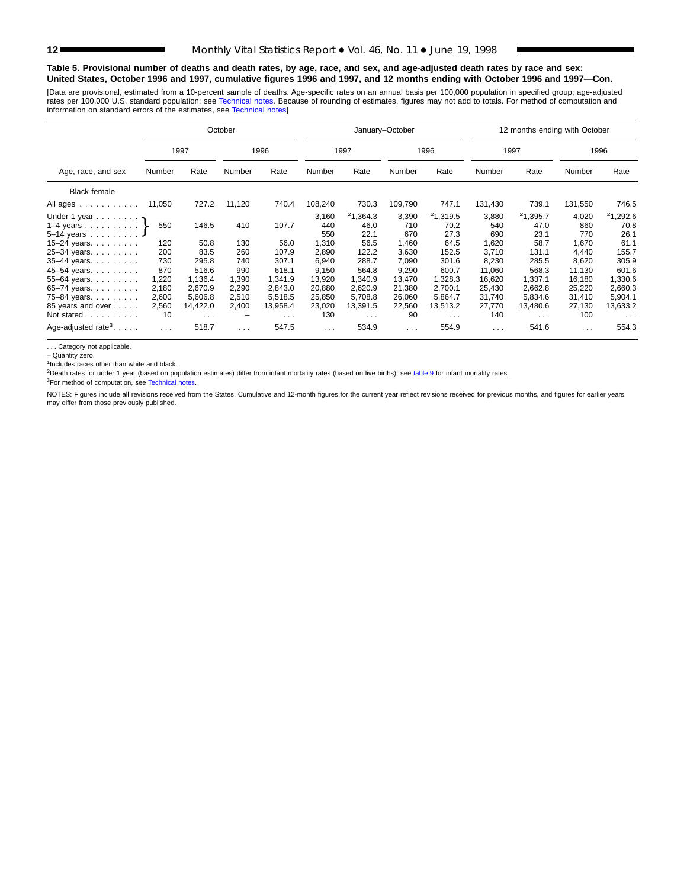#### **Table 5. Provisional number of deaths and death rates, by age, race, and sex, and age-adjusted death rates by race and sex: United States, October 1996 and 1997, cumulative figures 1996 and 1997, and 12 months ending with October 1996 and 1997—Con.**

[Data are provisional, estimated from a 10-percent sample of deaths. Age-specific rates on an annual basis per 100,000 population in specified group; age-adjusted rates per 100,000 U.S. standard population; see [Technical notes. Becaus](#page-16-0)e of rounding of estimates, figures may not add to totals. For method of computation and<br>information on standard errors of the estimates, see Technical

|                                             |                                  | October    |          |            |          |                      | January-October |            |                      | 12 months ending with October |                      |            |
|---------------------------------------------|----------------------------------|------------|----------|------------|----------|----------------------|-----------------|------------|----------------------|-------------------------------|----------------------|------------|
|                                             |                                  | 1997       |          | 1996       |          | 1997                 |                 | 1996       |                      | 1997                          |                      | 1996       |
| Age, race, and sex                          | Rate<br>Rate<br>Number<br>Number |            |          | Number     | Rate     | Number               | Rate            | Number     | Rate                 | Number                        | Rate                 |            |
| <b>Black female</b>                         |                                  |            |          |            |          |                      |                 |            |                      |                               |                      |            |
| All ages                                    | 11,050                           | 727.2      | 11,120   | 740.4      | 108,240  | 730.3                | 109,790         | 747.1      | 131,430              | 739.1                         | 131,550              | 746.5      |
| Under 1 year                                |                                  |            |          |            | 3,160    | 21,364.3             | 3,390           | 21,319.5   | 3,880                | 21,395.7                      | 4,020                | 21,292.6   |
| 1–4 years $\}$                              | 550                              | 146.5      | 410      | 107.7      | 440      | 46.0                 | 710             | 70.2       | 540                  | 47.0                          | 860                  | 70.8       |
| 5-14 years                                  |                                  |            |          |            | 550      | 22.1                 | 670             | 27.3       | 690                  | 23.1                          | 770                  | 26.1       |
| $15 - 24$ years.                            | 120                              | 50.8       | 130      | 56.0       | 1,310    | 56.5                 | 1,460           | 64.5       | 1,620                | 58.7                          | 1,670                | 61.1       |
| 25-34 years.                                | 200                              | 83.5       | 260      | 107.9      | 2,890    | 122.2                | 3,630           | 152.5      | 3.710                | 131.1                         | 4.440                | 155.7      |
| 35-44 years.                                | 730                              | 295.8      | 740      | 307.1      | 6,940    | 288.7                | 7,090           | 301.6      | 8,230                | 285.5                         | 8,620                | 305.9      |
| 45-54 years.                                | 870                              | 516.6      | 990      | 618.1      | 9,150    | 564.8                | 9,290           | 600.7      | 11,060               | 568.3                         | 11,130               | 601.6      |
| 55-64 years.                                | 1,220                            | 1.136.4    | 1.390    | 1.341.9    | 13,920   | 1.340.9              | 13.470          | 1.328.3    | 16.620               | 1.337.1                       | 16.180               | 1,330.6    |
| 65-74 years.                                | 2,180                            | 2,670.9    | 2,290    | 2,843.0    | 20,880   | 2,620.9              | 21,380          | 2,700.1    | 25,430               | 2,662.8                       | 25,220               | 2,660.3    |
| 75-84 years.                                | 2,600                            | 5,606.8    | 2,510    | 5,518.5    | 25,850   | 5,708.8              | 26,060          | 5,864.7    | 31,740               | 5,834.6                       | 31,410               | 5,904.1    |
| 85 years and over                           | 2,560                            | 14,422.0   | 2,400    | 13,958.4   | 23,020   | 13,391.5             | 22,560          | 13,513.2   | 27,770               | 13,480.6                      | 27,130               | 13,633.2   |
| Not stated                                  | 10                               | $\sim 100$ | -        | $\sim 100$ | 130      | $\sim$ $\sim$ $\sim$ | 90              | $\sim 100$ | 140                  | $\sim 100$ km s $^{-1}$       | 100                  | $\sim 100$ |
| Age-adjusted rate <sup>3</sup> . $\ldots$ . | $\sim 100$                       | 518.7      | $\cdots$ | 547.5      | $\cdots$ | 534.9                | $\sim 100$      | 554.9      | $\sim$ $\sim$ $\sim$ | 541.6                         | $\sim$ $\sim$ $\sim$ | 554.3      |

. . . Category not applicable.

– Quantity zero.

<sup>1</sup>Includes races other than white and black.

<sup>2</sup>Death rates for under 1 year [\(based on population es](#page-16-0)timates) differ from infant mortality rates (based on live births); see [table 9](#page-15-0) for infant mortality rates.

3For method of computation, see Technical notes.

NOTES: Figures include all revisions received from the States. Cumulative and 12-month figures for the current year reflect revisions received for previous months, and figures for earlier years may differ from those previously published.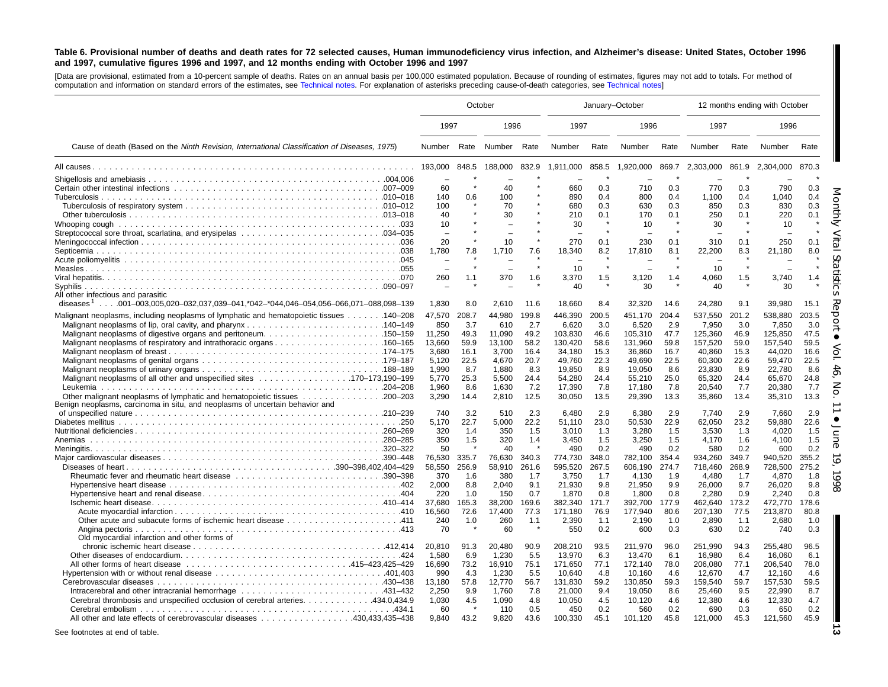#### <span id="page-12-0"></span>Table 6. Provisional number of deaths and death rates for 72 selected causes, Human immunodeficiency virus infection, and Alzheimer's disease: United States, October 1996 and 1997, cumulative figures 1996 and 1997, and 12 months ending with October 1996 and 1997

[Data are provisional, estimated from <sup>a</sup> 10-percent sample of deaths. Rates on an annual basis per 100,000 estimated population. Because of rounding of [estimates,](#page-16-0) figures may not add to totals. For method of computation and information on standard errors of the estimates, see [Technical](#page-16-0) notes. For explanation of asterisks preceding cause-of-death categories, see Technical notes]

|                                                                                                                                            |                           | October              |                           | January-October      |                                       |                      |                              |                      | 12 months ending with October |                      |                              |                      |
|--------------------------------------------------------------------------------------------------------------------------------------------|---------------------------|----------------------|---------------------------|----------------------|---------------------------------------|----------------------|------------------------------|----------------------|-------------------------------|----------------------|------------------------------|----------------------|
|                                                                                                                                            | 1997                      |                      | 1996                      |                      | 1997                                  |                      | 1996                         |                      | 1997                          |                      | 1996                         |                      |
| Cause of death (Based on the Ninth Revision, International Classification of Diseases, 1975)                                               | Number                    | Rate                 | Number Rate               |                      | Number                                | Rate                 | Number                       | Rate                 | Number                        | Rate                 | Number                       | Rate                 |
|                                                                                                                                            | 193,000                   | 848.5                | 188,000                   | 832.9                | 1,911,000                             | 858.5                | 1,920,000                    | 869.7                | 2,303,000                     | 861.9                | 2,304,000                    | 870.3                |
|                                                                                                                                            | 60<br>140                 | 0.6                  | 40<br>100                 |                      | 660<br>890                            | 0.3<br>0.4           | 710<br>800                   | 0.3<br>0.4           | 770<br>1,100                  | 0.3<br>0.4           | 790<br>1,040                 | 0.3<br>0.4           |
|                                                                                                                                            | 100<br>40                 |                      | 70<br>30                  |                      | 680<br>210                            | 0.3<br>0.1           | 630<br>170                   | 0.3<br>0.1           | 850<br>250                    | 0.3<br>0.1           | 830<br>220                   | 0.3<br>0.1           |
|                                                                                                                                            | 10<br>20                  |                      | 10                        | $\star$              | 30<br>$\overline{\phantom{0}}$<br>270 | $\star$<br>0.1       | 10<br>۰<br>230               | 0.1                  | 30<br>310                     | 0.1                  | 10<br>250                    | 0.1                  |
|                                                                                                                                            | 1,780                     | 7.8                  | 1,710                     | 7.6                  | 18,340                                | 8.2                  | 17,810                       | 8.1                  | 22,200                        | 8.3                  | 21,180                       | 8.0                  |
|                                                                                                                                            | 260                       | 1.1                  | 370                       | 1.6                  | 10<br>3,370<br>40                     | $\star$<br>1.5       | 3,120<br>30                  | 1.4                  | 10<br>4,060<br>40             | 1.5                  | 3,740<br>30                  | 1.4                  |
| All other infectious and parasitic<br>diseases <sup>1</sup> 001–003,005,020–032,037,039–041,*042–*044,046–054,056–066,071–088,098–139      | 1,830                     | 8.0                  | 2,610                     | 11.6                 | 18,660                                | 8.4                  | 32,320                       | 14.6                 | 24,280                        | 9.1                  | 39,980                       | 15.1                 |
| Malignant neoplasms, including neoplasms of lymphatic and hematopoietic tissues 140–208                                                    | 47,570<br>850<br>11,250   | 208.7<br>3.7<br>49.3 | 44,980<br>610<br>11,090   | 199.8<br>2.7<br>49.2 | 446,390<br>6,620<br>103,830           | 200.5<br>3.0<br>46.6 | 451,170<br>6,520<br>105,310  | 204.4<br>2.9<br>47.7 | 537,550<br>7,950<br>125,360   | 201.2<br>3.0<br>46.9 | 538,880<br>7,850<br>125,850  | 203.5<br>3.0<br>47.5 |
|                                                                                                                                            | 13.660<br>3,680           | 59.9<br>16.1         | 13.100<br>3,700           | 58.2<br>16.4         | 130.420<br>34,180                     | 58.6<br>15.3         | 131,960<br>36,860            | 59.8<br>16.7         | 157,520<br>40,860             | 59.0<br>15.3         | 157.540<br>44,020            | 59.5<br>16.6         |
|                                                                                                                                            | 5,120<br>1,990<br>5,770   | 22.5<br>8.7<br>25.3  | 4,670<br>1,880<br>5,500   | 20.7<br>8.3<br>24.4  | 49,760<br>19,850<br>54,280            | 22.3<br>8.9<br>24.4  | 49,690<br>19,050<br>55,210   | 22.5<br>8.6<br>25.0  | 60,300<br>23,830<br>65,320    | 22.6<br>8.9<br>24.4  | 59,470<br>22,780<br>65,670   | 22.5<br>8.6<br>24.8  |
| Other malignant neoplasms of lymphatic and hematopoietic tissues 200–203                                                                   | 1,960<br>3,290            | 8.6<br>14.4          | 1,630<br>2,810            | 7.2<br>12.5          | 17,390<br>30,050                      | 7.8<br>13.5          | 17,180<br>29,390             | 7.8<br>13.3          | 20,540<br>35,860              | 7.7<br>13.4          | 20,380<br>35,310             | 7.7<br>13.3          |
| Benign neoplasms, carcinoma in situ, and neoplasms of uncertain behavior and                                                               | 740<br>5,170              | 3.2<br>22.7          | 510<br>5,000              | 2.3<br>22.2          | 6,480<br>51,110                       | 2.9<br>23.0          | 6,380<br>50,530              | 2.9<br>22.9          | 7,740<br>62,050               | 2.9<br>23.2          | 7,660<br>59,880              | 2.9<br>22.6          |
| Anemias                                                                                                                                    | 320<br>350<br>50          | 1.4<br>1.5           | 350<br>320<br>40          | 1.5<br>1.4           | 3.010<br>3.450<br>490                 | 1.3<br>1.5<br>0.2    | 3.280<br>3.250<br>490        | 1.5<br>1.5<br>0.2    | 3.530<br>4.170<br>580         | 1.3<br>1.6<br>0.2    | 4.020<br>4.100<br>600        | 1.5<br>1.5<br>0.2    |
|                                                                                                                                            | 76,530<br>58,550          | 335.7<br>256.9       | 76,630<br>58,910          | 340.3<br>261.6       | 774,730<br>595.520                    | 348.0<br>267.5       | 782,100<br>606.190           | 354.4<br>274.7       | 934,260<br>718.460            | 349.7<br>268.9       | 940,520<br>728.500           | 355.2<br>275.2       |
|                                                                                                                                            | 370<br>2.000<br>220       | 1.6<br>8.8<br>1.0    | 380<br>2.040<br>150       | 1.7<br>9.1<br>0.7    | 3.750<br>21.930<br>1,870              | 1.7<br>9.8<br>0.8    | 4.130<br>21.950<br>1,800     | 1.9<br>9.9<br>0.8    | 4.480<br>26.000<br>2,280      | 1.7<br>9.7<br>0.9    | 4.870<br>26.020<br>2.240     | 1.8<br>9.8<br>0.8    |
|                                                                                                                                            | 37.680<br>16,560          | 165.3<br>72.6        | 38,200<br>17.400          | 169.6<br>77.3        | 382,340<br>171.180                    | 171.7<br>76.9        | 392,700<br>177.940           | 177.9<br>80.6        | 462.640<br>207.130            | 173.2<br>77.5        | 472.770<br>213.870           | 178.6<br>80.8        |
| Old myocardial infarction and other forms of                                                                                               | 240<br>70                 | 1.0                  | 260<br>60                 | 1.1                  | 2,390<br>550                          | 1.1<br>0.2           | 2,190<br>600                 | 1.0<br>0.3           | 2,890<br>630                  | 1.1<br>0.2           | 2.680<br>740                 | 1.0<br>0.3           |
|                                                                                                                                            | 20,810<br>1,580<br>16,690 | 91.3<br>6.9<br>73.2  | 20,480<br>1,230<br>16,910 | 90.9<br>5.5<br>75.1  | 208,210<br>13,970<br>171,650          | 93.5<br>6.3<br>77.1  | 211,970<br>13,470<br>172,140 | 96.0<br>6.1<br>78.0  | 251,990<br>16,980<br>206,080  | 94.3<br>6.4<br>77.1  | 255,480<br>16,060<br>206,540 | 96.5<br>6.1<br>78.0  |
|                                                                                                                                            | 990<br>13,180             | 4.3<br>57.8          | 1,230<br>12,770           | 5.5<br>56.7          | 10.640<br>131,830                     | 4.8<br>59.2          | 10.160<br>130,850            | 4.6<br>59.3          | 12,670<br>159,540             | 4.7<br>59.7          | 12.160<br>157,530            | 4.6<br>59.5          |
| Intracerebral and other intracranial hemorrhage 431-432<br>Cerebral thrombosis and unspecified occlusion of cerebral arteries. 434.0,434.9 | 2,250<br>1,030<br>60      | 9.9<br>4.5           | 1,760<br>1,090<br>110     | 7.8<br>4.8<br>0.5    | 21,000<br>10,050<br>450               | 9.4<br>4.5<br>0.2    | 19,050<br>10,120<br>560      | 8.6<br>4.6<br>0.2    | 25,460<br>12,380<br>690       | 9.5<br>4.6<br>0.3    | 22,990<br>12,330<br>650      | 8.7<br>4.7<br>0.2    |
| All other and late effects of cerebrovascular diseases 430,433,435–438                                                                     | 9.840                     | 43.2                 | 9.820                     | 43.6                 | 100,330                               | 45.1                 | 101,120                      | 45.8                 | 121,000                       | 45.3                 | 121,560                      | 45.9                 |

See footnotes at end of table.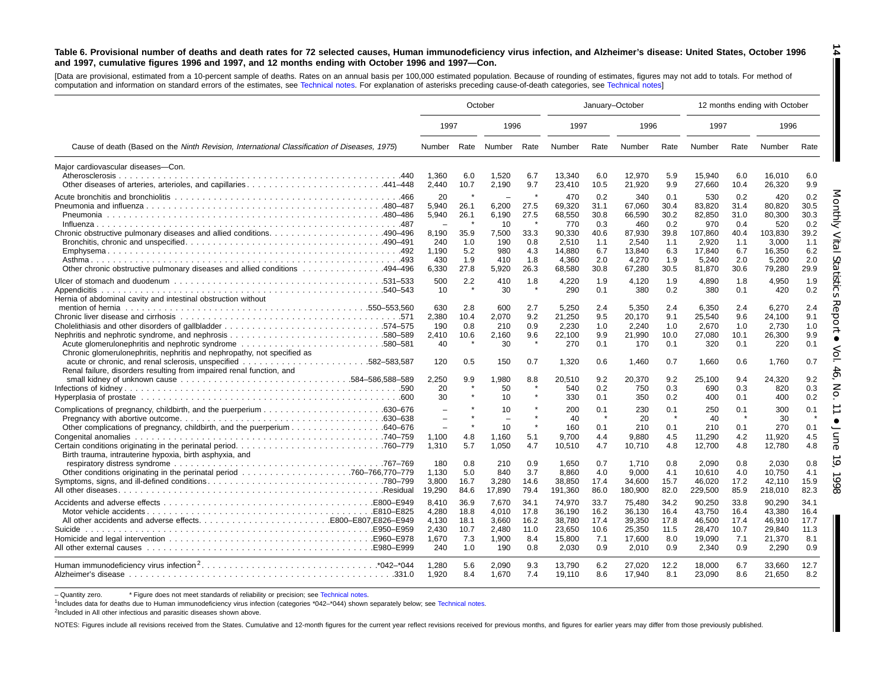#### Table 6. Provisional number of deaths and death rates for 72 selected causes, Human immunodeficiency virus infection, and Alzheimer's disease: United States, October 1996 and 1997, cumulative figures 1996 and 1997, and 12 months ending with October 1996 and 1997-Con.

[Data are provisional, estimated from <sup>a</sup> 10-percent sample of deaths. Rates on an annual basis per 100,000 estimated population. Because of rounding of [estimates,](#page-16-0) figures may not add to totals. For method of computation and information on standard errors of the estimates, see [Technical](#page-16-0) notes. For explanation of asterisks preceding cause-of-death categories, see Technical notes]

|                                                                                                                                    | October                                                             |                                                   |                                                                  |                                                   | January-October                                                                |                                                                 |                                                                                |                                                                 |                                                                                 |                                                                 | 12 months ending with October                                                   |                                                                 |
|------------------------------------------------------------------------------------------------------------------------------------|---------------------------------------------------------------------|---------------------------------------------------|------------------------------------------------------------------|---------------------------------------------------|--------------------------------------------------------------------------------|-----------------------------------------------------------------|--------------------------------------------------------------------------------|-----------------------------------------------------------------|---------------------------------------------------------------------------------|-----------------------------------------------------------------|---------------------------------------------------------------------------------|-----------------------------------------------------------------|
|                                                                                                                                    | 1997                                                                |                                                   | 1996                                                             |                                                   | 1997                                                                           |                                                                 | 1996                                                                           |                                                                 | 1997                                                                            |                                                                 | 1996                                                                            |                                                                 |
| Cause of death (Based on the Ninth Revision, International Classification of Diseases, 1975)                                       | Number                                                              |                                                   | Rate Number                                                      | Rate                                              | Number                                                                         | Rate                                                            | Number                                                                         | Rate                                                            | Number                                                                          | Rate                                                            | Number                                                                          | Rate                                                            |
| Maior cardiovascular diseases-Con.                                                                                                 | 1,360<br>2,440                                                      | 6.0<br>10.7                                       | 1,520<br>2,190                                                   | 6.7<br>9.7                                        | 13,340<br>23,410                                                               | 6.0<br>10.5                                                     | 12,970<br>21,920                                                               | 5.9<br>9.9                                                      | 15,940<br>27,660                                                                | 6.0<br>10.4                                                     | 16,010<br>26,320                                                                | 6.0<br>9.9                                                      |
| Other chronic obstructive pulmonary diseases and allied conditions 494–496                                                         | 20<br>5,940<br>5,940<br>8.190<br>240<br>1,190<br>430<br>6,330       | 26.1<br>26.1<br>35.9<br>1.0<br>5.2<br>1.9<br>27.8 | ÷<br>6,200<br>6,190<br>10<br>7,500<br>190<br>980<br>410<br>5,920 | 27.5<br>27.5<br>33.3<br>0.8<br>4.3<br>1.8<br>26.3 | 470<br>69,320<br>68,550<br>770<br>90.330<br>2,510<br>14,880<br>4,360<br>68,580 | 0.2<br>31.1<br>30.8<br>0.3<br>40.6<br>1.1<br>6.7<br>2.0<br>30.8 | 340<br>67,060<br>66,590<br>460<br>87.930<br>2,540<br>13,840<br>4,270<br>67,280 | 0.1<br>30.4<br>30.2<br>0.2<br>39.8<br>1.1<br>6.3<br>1.9<br>30.5 | 530<br>83,820<br>82,850<br>970<br>107.860<br>2,920<br>17,840<br>5,240<br>81,870 | 0.2<br>31.4<br>31.0<br>0.4<br>40.4<br>1.1<br>6.7<br>2.0<br>30.6 | 420<br>80,820<br>80,300<br>520<br>103.830<br>3.000<br>16,350<br>5,200<br>79,280 | 0.2<br>30.5<br>30.3<br>0.2<br>39.2<br>1.1<br>6.2<br>2.0<br>29.9 |
| Hernia of abdominal cavity and intestinal obstruction without                                                                      | 500<br>10                                                           | 2.2                                               | 410<br>30                                                        | 1.8                                               | 4,220<br>290                                                                   | 1.9<br>0.1                                                      | 4,120<br>380                                                                   | 1.9<br>0.2                                                      | 4,890<br>380                                                                    | 1.8<br>0.1                                                      | 4,950<br>420                                                                    | 1.9<br>0.2                                                      |
| Acute glomerulonephritis and nephrotic syndrome 580–581<br>Chronic glomerulonephritis, nephritis and nephropathy, not specified as | 630<br>2,380<br>190<br>2,410<br>40                                  | 2.8<br>10.4<br>0.8<br>10.6                        | 600<br>2,070<br>210<br>2,160<br>30                               | 2.7<br>9.2<br>0.9<br>9.6                          | 5.250<br>21.250<br>2,230<br>22,100<br>270                                      | 2.4<br>9.5<br>1.0<br>9.9<br>0.1                                 | 5.350<br>20.170<br>2,240<br>21,990<br>170                                      | 2.4<br>9.1<br>1.0<br>10.0<br>0.1                                | 6.350<br>25,540<br>2,670<br>27,080<br>320                                       | 2.4<br>9.6<br>1.0<br>10.1<br>0.1                                | 6.270<br>24.100<br>2,730<br>26,300<br>220                                       | 2.4<br>9.1<br>1.0<br>9.9<br>0.1                                 |
| .582–583.587<br>Renal failure, disorders resulting from impaired renal function, and                                               | 120<br>2,250<br>20                                                  | 0.5<br>9.9                                        | 150<br>1,980<br>50                                               | 0.7<br>8.8                                        | 1,320<br>20,510<br>540                                                         | 0.6<br>9.2<br>0.2                                               | 1,460<br>20,370<br>750                                                         | 0.7<br>9.2<br>0.3                                               | 1,660<br>25.100<br>690                                                          | 0.6<br>9.4<br>0.3                                               | 1,760<br>24,320<br>820                                                          | 0.7<br>9.2<br>0.3                                               |
|                                                                                                                                    | 30<br>$\overline{\phantom{a}}$<br>$\overline{\phantom{a}}$<br>1,100 | 4.8                                               | 10<br>10<br>$\overline{\phantom{0}}$<br>10<br>1,160              | 5.1                                               | 330<br>200<br>40<br>160<br>9.700                                               | 0.1<br>0.1<br>$\star$<br>0.1<br>4.4                             | 350<br>230<br>20<br>210<br>9,880                                               | 0.2<br>0.1<br>$\star$<br>0.1<br>4.5                             | 400<br>250<br>40<br>210<br>11,290                                               | 0.1<br>0.1<br>$\star$<br>0.1<br>4.2                             | 400<br>300<br>30<br>270<br>11.920                                               | 0.2<br>0.1<br>0.1<br>4.5                                        |
| Birth trauma, intrauterine hypoxia, birth asphyxia, and                                                                            | 1,310<br>180<br>1,130<br>3,800<br>19,290                            | 5.7<br>0.8<br>5.0<br>16.7<br>84.6                 | 1,050<br>210<br>840<br>3,280<br>17,890                           | 4.7<br>0.9<br>3.7<br>14.6<br>79.4                 | 10,510<br>1.650<br>8,860<br>38,850<br>191,360                                  | 4.7<br>0.7<br>4.0<br>17.4<br>86.0                               | 10,710<br>1.710<br>9,000<br>34,600<br>180,900                                  | 4.8<br>0.8<br>4.1<br>15.7<br>82.0                               | 12,700<br>2.090<br>10,610<br>46,020<br>229,500                                  | 4.8<br>0.8<br>4.0<br>17.2<br>85.9                               | 12,780<br>2.030<br>10,750<br>42,110<br>218,010                                  | 4.8<br>0.8<br>4.1<br>15.9<br>82.3                               |
| Suicide                                                                                                                            | 8,410<br>4.280<br>4,130<br>2,430<br>1,670<br>240                    | 36.9<br>18.8<br>18.1<br>10.7<br>7.3<br>1.0        | 7,670<br>4,010<br>3,660<br>2.480<br>1,900<br>190                 | 34.1<br>17.8<br>16.2<br>11.0<br>8.4<br>0.8        | 74,970<br>36.190<br>38,780<br>23,650<br>15.800<br>2.030                        | 33.7<br>16.2<br>17.4<br>10.6<br>7.1<br>0.9                      | 75,480<br>36.130<br>39,350<br>25,350<br>17,600<br>2.010                        | 34.2<br>16.4<br>17.8<br>11.5<br>8.0<br>0.9                      | 90,250<br>43.750<br>46,500<br>28,470<br>19,090<br>2.340                         | 33.8<br>16.4<br>17.4<br>10.7<br>7.1<br>0.9                      | 90,290<br>43.380<br>46,910<br>29,840<br>21,370<br>2.290                         | 34.1<br>16.4<br>17.7<br>11.3<br>8.1<br>0.9                      |
|                                                                                                                                    | 1,280<br>1.920                                                      | 5.6<br>8.4                                        | 2,090<br>1,670                                                   | 9.3<br>7.4                                        | 13,790<br>19,110                                                               | 6.2<br>8.6                                                      | 27,020<br>17,940                                                               | 12.2<br>8.1                                                     | 18,000<br>23,090                                                                | 6.7<br>8.6                                                      | 33,660<br>21,650                                                                | 12.7<br>8.2                                                     |

- Quantity zero. \* Figure does not meet standards of reliability or precision; see Technical notes.

1Includes data for deaths due to Human immunodeficiency virus infection (categories [\\*042–\\*044\)](#page-16-0) shown separately below; see [Technical](#page-16-0) notes.

<sup>2</sup>Included in All other infectious and parasitic diseases shown above.

NOTES: Figures include all revisions received from the States. Cumulative and 12-month figures for the current year reflect revisions received for previous months, and figures for earlier years may differ from those previo

**14** H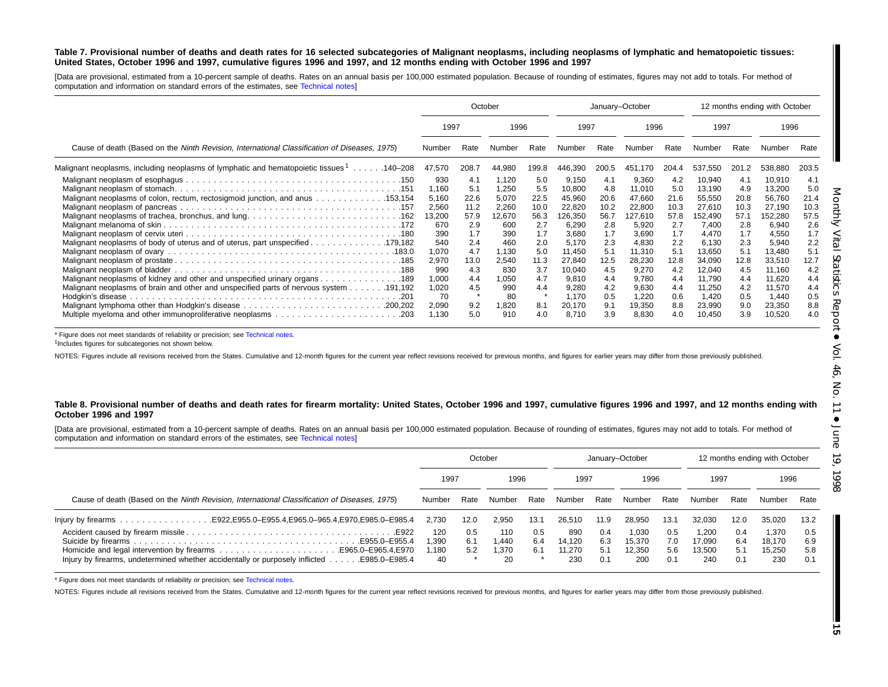#### Table 7. Provisional number of deaths and death rates for 16 selected subcategories of Malignant neoplasms, including neoplasms of lymphatic and hematopoietic tissues: United States, October 1996 and 1997, cumulative figures 1996 and 1997, and 12 months ending with October 1996 and 1997

[Data are provisional, estimated from <sup>a</sup> 10-percent sample of deaths. Rates on an annual basis per 100,000 estimated population. Because of rounding of estimates, figures may not add to totals. For method of computation and information on standard errors of the estimates, see [Technical](#page-16-0) notes]

|                                                                                                      |                                                                                        |                                                                               | October                                                                                  |                                                                               | January-October                                                                                         |                                                                               |                                                                                                        |                                                                               |                                                                                                          |                                                                               | 12 months ending with October                                                                            |                                                                               |
|------------------------------------------------------------------------------------------------------|----------------------------------------------------------------------------------------|-------------------------------------------------------------------------------|------------------------------------------------------------------------------------------|-------------------------------------------------------------------------------|---------------------------------------------------------------------------------------------------------|-------------------------------------------------------------------------------|--------------------------------------------------------------------------------------------------------|-------------------------------------------------------------------------------|----------------------------------------------------------------------------------------------------------|-------------------------------------------------------------------------------|----------------------------------------------------------------------------------------------------------|-------------------------------------------------------------------------------|
|                                                                                                      | 1997                                                                                   |                                                                               | 1996                                                                                     |                                                                               | 1997                                                                                                    |                                                                               | 1996                                                                                                   |                                                                               | 1997                                                                                                     |                                                                               | 1996                                                                                                     |                                                                               |
| Cause of death (Based on the Ninth Revision, International Classification of Diseases, 1975)         | Number                                                                                 | Rate                                                                          | Number                                                                                   | Rate                                                                          | Number                                                                                                  | Rate                                                                          | Number                                                                                                 | Rate                                                                          | Number                                                                                                   | Rate                                                                          | Number                                                                                                   | Rate                                                                          |
| Malignant neoplasms, including neoplasms of lymphatic and hematopoietic tissues <sup>1</sup> 140–208 | 47,570                                                                                 | 208.7                                                                         | 44,980                                                                                   | 199.8                                                                         | 446,390                                                                                                 | 200.5                                                                         | .170<br>451                                                                                            | 204.4                                                                         | 537,550                                                                                                  | 201.2                                                                         | 538,880                                                                                                  | 203.5                                                                         |
| Malignant neoplasms of colon, rectum, rectosigmoid junction, and anus 153,154                        | 930<br>1.160<br>5,160<br>2,560<br>13,200<br>670<br>390<br>540<br>1,070<br>2,970<br>990 | 4.1<br>5.1<br>22.6<br>11.2<br>57.9<br>2.9<br>1.7<br>2.4<br>4.7<br>13.0<br>4.3 | 1,120<br>1,250<br>5,070<br>2,260<br>12,670<br>600<br>390<br>460<br>1,130<br>2,540<br>830 | 5.0<br>5.5<br>22.5<br>10.0<br>56.3<br>2.7<br>1.7<br>2.0<br>5.0<br>11.3<br>3.7 | 9,150<br>10,800<br>45,960<br>22,820<br>126,350<br>6,290<br>3,680<br>5.170<br>11,450<br>27,840<br>10,040 | 4.1<br>4.8<br>20.6<br>10.2<br>56.7<br>2.8<br>1.7<br>2.3<br>5.1<br>12.5<br>4.5 | 9,360<br>11.010<br>47,660<br>22,800<br>127,610<br>5,920<br>3,690<br>4,830<br>11,310<br>28,230<br>9,270 | 4.2<br>5.0<br>21.6<br>10.3<br>57.8<br>2.7<br>1.7<br>2.2<br>5.1<br>12.8<br>4.2 | 10,940<br>13,190<br>55,550<br>27,610<br>152,490<br>7,400<br>4,470<br>6,130<br>13,650<br>34,090<br>12,040 | 4.1<br>4.9<br>20.8<br>10.3<br>57.1<br>2.8<br>1.7<br>2.3<br>5.1<br>12.8<br>4.5 | 10,910<br>13,200<br>56,760<br>27,190<br>152,280<br>6,940<br>4,550<br>5,940<br>13,480<br>33,510<br>11,160 | 4.1<br>5.0<br>21.4<br>10.3<br>57.5<br>2.6<br>1.7<br>2.2<br>5.1<br>12.7<br>4.2 |
| 189. 189. Malignant neoplasms of kidney and other and unspecified urinary organs. 189                | 1,000<br>1,020<br>70<br>2,090<br>1,130                                                 | 4.4<br>4.5<br>9.2<br>5.0                                                      | 1,050<br>990<br>80<br>1,820<br>910                                                       | 4.7<br>4.4<br>8.1<br>4.0                                                      | 9,810<br>9,280<br>1.170<br>20,170<br>8,710                                                              | 4.4<br>4.2<br>0.5<br>9.1<br>3.9                                               | 9,780<br>9,630<br>.220<br>19,350<br>8,830                                                              | 4.4<br>4.4<br>0.6<br>8.8<br>4.0                                               | 11,790<br>11,250<br>1.420<br>23,990<br>10,450                                                            | 4.4<br>4.2<br>0.5<br>9.0<br>3.9                                               | 11,620<br>11,570<br>1,440<br>23,350<br>10,520                                                            | 4.4<br>4.4<br>0.5<br>8.8<br>4.0                                               |

\* Figure does not meet standards of reliability or precision; see [Technical](#page-16-0) notes.

<sup>1</sup>Includes figures for subcategories not shown below.

NOTES: Figures include all revisions received from the States. Cumulative and 12-month figures for the current year reflect revisions received for previous months, and figures for earlier years may differ from those previo

#### Table 8. Provisional number of deaths and death rates for firearm mortality: United States, October 1996 and 1997, cumulative figures 1996 and 1997, and 12 months ending with **October 1996 and 1997**

[Data are provisional, estimated from <sup>a</sup> 10-percent sample of deaths. Rates on an annual basis per 100,000 estimated population. Because of rounding of estimates, figures may not add to totals. For method of computation and information on standard errors of the estimates, see [Technical](#page-16-0) notes]

|                                                                                                          |        | October |        |      |        | January-October |        |      |        | 12 months ending with October |        |      |
|----------------------------------------------------------------------------------------------------------|--------|---------|--------|------|--------|-----------------|--------|------|--------|-------------------------------|--------|------|
|                                                                                                          | 1997   |         | 1996   |      | 1997   |                 | 1996   |      | 1997   |                               | 1996   |      |
| Cause of death (Based on the Ninth Revision, International Classification of Diseases, 1975)             | Number | Rate    | Number | Rate | Number | Rate            | Number | Rate | Number | Rate                          | Number | Rate |
|                                                                                                          | 2.730  | 12.0    | 2.950  | 13.1 | 26.510 | 11.9            | 28.950 | 13.1 | 32.030 | 12.0                          | 35.020 | 13.2 |
|                                                                                                          | 120    | 0.5     | 110    | 0.5  | 890    | 0.4             | 1.030  | 0.5  | 1.200  | 0.4                           | 1,370  | 0.5  |
| E955.0-E955.4                                                                                            | l.390  | 6.1     | 1.440  | 6.4  | 14.120 | 6.3             | 15.370 | 7.0  | 17.090 | 6.4                           | 18.170 | 6.9  |
|                                                                                                          | .180   | 5.2     | 1.370  | 6.1  | 11.270 | 5.1             | 12.350 | 5.6  | 13.500 | 5.1                           | 15.250 | 5.8  |
| Injury by firearms, undetermined whether accidentally or purposely inflicted $\dots$ .<br>E985.0–E985.4. | 40     |         | 20     |      | 230    | 0.1             | 200    | 0.1  | 240    | 0.1                           | 230    | 0.1  |

\* Figure does not meet standards of reliability or precision; see [Technical](#page-16-0) notes.

NOTES: Figures include all revisions received from the States. Cumulative and 12-month figures for the current year reflect revisions received for previous months, and figures for earlier years may differ from those previo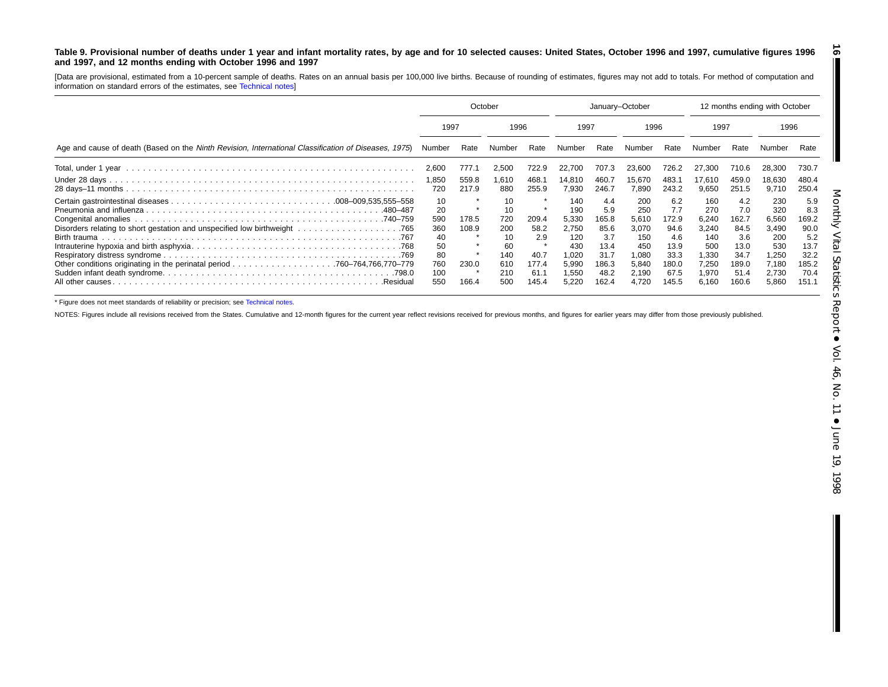#### <span id="page-15-0"></span>Table 9. Provisional number of deaths under 1 year and infant mortality rates, by age and for 10 selected causes: United States, October 1996 and 1997, cumulative figures 1996 **and 1997, and 12 months ending with October 1996 and 1997**

[Data are provisional, estimated from <sup>a</sup> 10-percent sample of deaths. Rates on an annual basis per 100,000 live births. Because of rounding of estimates, figures may not add to totals. For method of computation and information on standard errors of the estimates, see [Technical](#page-16-0) notes]

|                                                                                                      | October                                                       |                                  |                                                                | January-October                                        |                                                                                |                                                                              |                                                                                | 12 months ending with October                                                |                                                                                |                                                                              |                                                                                |                                                                              |
|------------------------------------------------------------------------------------------------------|---------------------------------------------------------------|----------------------------------|----------------------------------------------------------------|--------------------------------------------------------|--------------------------------------------------------------------------------|------------------------------------------------------------------------------|--------------------------------------------------------------------------------|------------------------------------------------------------------------------|--------------------------------------------------------------------------------|------------------------------------------------------------------------------|--------------------------------------------------------------------------------|------------------------------------------------------------------------------|
|                                                                                                      | 1997                                                          |                                  | 1996                                                           |                                                        | 1997                                                                           |                                                                              | 1996                                                                           |                                                                              | 1997                                                                           |                                                                              | 1996                                                                           |                                                                              |
| Age and cause of death (Based on the Ninth Revision, International Classification of Diseases, 1975) | Number                                                        | Rate                             | Number                                                         | Rate                                                   | Number                                                                         | Rate                                                                         | Number                                                                         | Rate                                                                         | Number                                                                         | Rate                                                                         |                                                                                | Rate                                                                         |
|                                                                                                      | 2,600                                                         | 777.1                            | 2,500                                                          | 722.9                                                  | 22,700                                                                         | 707.3                                                                        | 23,600                                                                         | 726.2                                                                        | 27,300                                                                         | 710.6                                                                        | 28,300                                                                         | 730.7                                                                        |
|                                                                                                      | 1,850<br>720                                                  | 559.8<br>217.9                   | 1,610<br>880                                                   | 468.1<br>255.9                                         | 14,810<br>7,930                                                                | 460.7<br>246.7                                                               | 15,670<br>7,890                                                                | 483.1<br>243.2                                                               | 17,610<br>9,650                                                                | 459.0<br>251.5                                                               | 18,630<br>9,710                                                                | 480.4<br>250.4                                                               |
| .480–487<br>.740–759<br>All other causes.<br>.Residua                                                | 10<br>20<br>590<br>360<br>40<br>50<br>80<br>760<br>100<br>550 | 178.5<br>108.9<br>230.0<br>166.4 | 10<br>10<br>720<br>200<br>10<br>60<br>140<br>610<br>210<br>500 | 209.4<br>58.2<br>2.9<br>40.7<br>177.4<br>61.7<br>145.4 | 140<br>190<br>5,330<br>2,750<br>120<br>430<br>1,020<br>5,990<br>1,550<br>5,220 | 4.4<br>5.9<br>165.8<br>85.6<br>3.7<br>13.4<br>31.7<br>186.3<br>48.2<br>162.4 | 200<br>250<br>5,610<br>3,070<br>150<br>450<br>1.080<br>5.840<br>2,190<br>4,720 | 6.2<br>7.7<br>172.9<br>94.6<br>4.6<br>13.9<br>33.3<br>180.0<br>67.5<br>145.5 | 160<br>270<br>6,240<br>3,240<br>140<br>500<br>1.330<br>7.250<br>1,970<br>6.160 | 4.2<br>7.0<br>162.7<br>84.5<br>3.6<br>13.0<br>34.7<br>189.0<br>51.4<br>160.6 | 230<br>320<br>6,560<br>3,490<br>200<br>530<br>1,250<br>7,180<br>2,730<br>5,860 | 5.9<br>8.3<br>169.2<br>90.0<br>5.2<br>13.7<br>32.2<br>185.2<br>70.4<br>151.1 |

\* Figure does not meet standards of reliability or precision; see [Technical](#page-16-0) notes.

NOTES: Figures include all revisions received from the States. Cumulative and 12-month figures for the current year reflect revisions received for previous months, and figures for earlier years may differ from those previo

**16**

П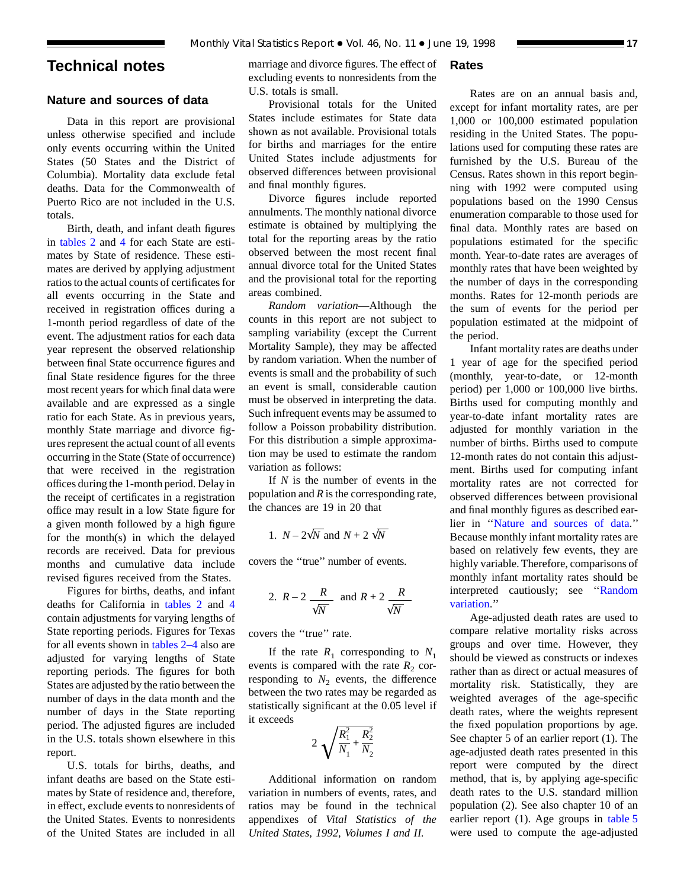## <span id="page-16-0"></span>**Technical notes**

## **Nature and sources of data**

Data in this report are provisional unless otherwise specified and include only events occurring within the United States (50 States and the District of Columbia). Mortality data exclude fetal deaths. Data for the Commonwealth of Puerto Rico are not included in the U.S. totals.

Birth, death, and infant death figures in [tables 2](#page-6-0) and 4 [for](#page-8-0) each State are estimates by State of residence. These estimates are derived by applying adjustment ratios to the actual counts of certificates for all events occurring in the State and received in registration offices during a 1-month period regardless of date of the event. The adjustment ratios for each data year represent the observed relationship between final State occurrence figures and final State residence figures for the three most recent years for which final data were available and are expressed as a single ratio for each State. As in previous years, monthly State marriage and divorce figures represent the actual count of all events occurring in the State (State of occurrence) that were received in the registration offices during the 1-month period. Delay in the receipt of certificates in a registration office may result in a low State figure for a given month followed by a high figure for the month(s) in which the delayed records are received. Data for previous months and cumulative data include revised figures received from the States.

Figures for births, deaths, and in[fant](#page-8-0) deaths for California in [tables 2](#page-6-0) and 4 contain adjustments for varying lengths of State reporting periods. Figures for Texas for all events shown in [tables 2–4](#page-6-0) also are adjusted for varying lengths of State reporting periods. The figures for both States are adjusted by the ratio between the number of days in the data month and the number of days in the State reporting period. The adjusted figures are included in the U.S. totals shown elsewhere in this report.

U.S. totals for births, deaths, and infant deaths are based on the State estimates by State of residence and, therefore, in effect, exclude events to nonresidents of the United States. Events to nonresidents of the United States are included in all

marriage and divorce figures. The effect of excluding events to nonresidents from the U.S. totals is small.

Provisional totals for the United States include estimates for State data shown as not available. Provisional totals for births and marriages for the entire United States include adjustments for observed differences between provisional and final monthly figures.

Divorce figures include reported annulments. The monthly national divorce estimate is obtained by multiplying the total for the reporting areas by the ratio observed between the most recent final annual divorce total for the United States and the provisional total for the reporting areas combined.

*Random variation*—Although the counts in this report are not subject to sampling variability (except the Current Mortality Sample), they may be affected by random variation. When the number of events is small and the probability of such an event is small, considerable caution must be observed in interpreting the data. Such infrequent events may be assumed to follow a Poisson probability distribution. For this distribution a simple approximation may be used to estimate the random variation as follows:

If *N* is the number of events in the population and *R* is the corresponding rate, the chances are 19 in 20 that

1. 
$$
N - 2\sqrt{N}
$$
 and  $N + 2\sqrt{N}$ 

covers the ''true'' number of events.

2. 
$$
R-2
$$
  $\frac{R}{\sqrt{N}}$  and  $R+2$   $\frac{R}{\sqrt{N}}$ 

covers the ''true'' rate.

If the rate  $R_1$  corresponding to  $N_1$ events is compared with the rate  $R_2$  corresponding to  $N_2$  events, the difference between the two rates may be regarded as statistically significant at the 0.05 level if it exceeds

$$
2\sqrt{\frac{R_1^2}{N_1} + \frac{R_2^2}{N_2}}
$$

Additional information on random variation in numbers of events, rates, and ratios may be found in the technical appendixes of *Vital Statistics of the United States, 1992, Volumes I and II.*

## **Rates**

Rates are on an annual basis and, except for infant mortality rates, are per 1,000 or 100,000 estimated population residing in the United States. The populations used for computing these rates are furnished by the U.S. Bureau of the Census. Rates shown in this report beginning with 1992 were computed using populations based on the 1990 Census enumeration comparable to those used for final data. Monthly rates are based on populations estimated for the specific month. Year-to-date rates are averages of monthly rates that have been weighted by the number of days in the corresponding months. Rates for 12-month periods are the sum of events for the period per population estimated at the midpoint of the period.

Infant mortality rates are deaths under 1 year of age for the specified period (monthly, year-to-date, or 12-month period) per 1,000 or 100,000 live births. Births used for computing monthly and year-to-date infant mortality rates are adjusted for monthly variation in the number of births. Births used to compute 12-month rates do not contain this adjustment. Births used for computing infant mortality rates are not corrected for observed differences between provisional and final monthly figures as described earlier in ''Nature and sources of data.'' Because monthly infant mortality rates are based on relatively few events, they are highly variable. Therefore, comparisons of monthly infant mortality rates should be interpreted cautiously; see ''Random variation.''

Age-adjusted death rates are used to compare relative mortality risks across groups and over time. However, they should be viewed as constructs or indexes rather than as direct or actual measures of mortality risk. Statistically, they are weighted averages of the age-specific death rates, where the weights represent the fixed population proportions by age. See chapter 5 of an earlier report (1). The age-adjusted death rates presented in this report were computed by the direct method, that is, by applying age-specific death rates to the U.S. standard million population (2). See also chapter 10 of an earlier report (1). Age groups in [table 5](#page-9-0) were used to compute the age-adjusted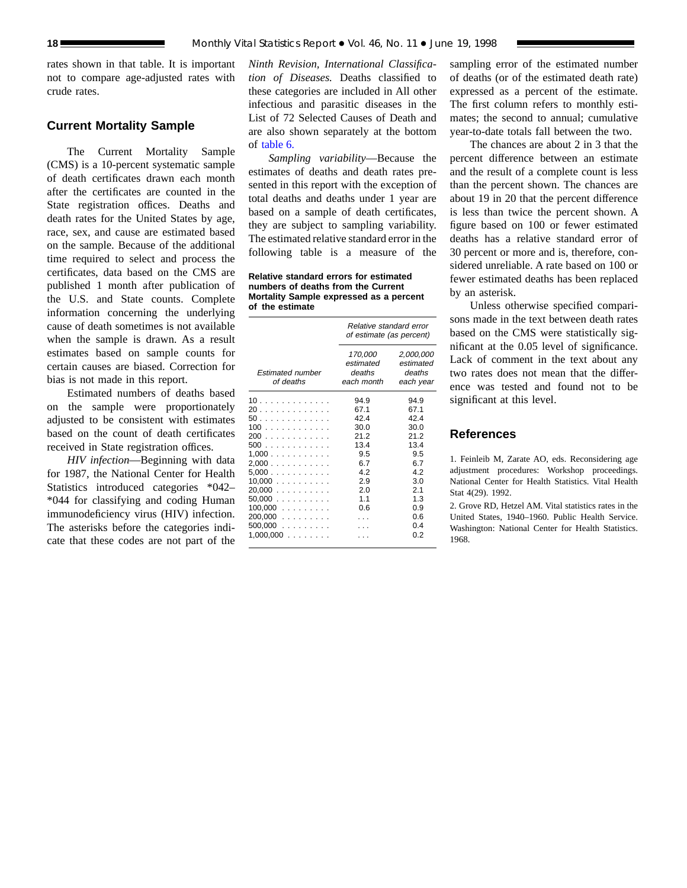rates shown in that table. It is important not to compare age-adjusted rates with crude rates.

## **Current Mortality Sample**

The Current Mortality Sample (CMS) is a 10-percent systematic sample of death certificates drawn each month after the certificates are counted in the State registration offices. Deaths and death rates for the United States by age, race, sex, and cause are estimated based on the sample. Because of the additional time required to select and process the certificates, data based on the CMS are published 1 month after publication of the U.S. and State counts. Complete information concerning the underlying cause of death sometimes is not available when the sample is drawn. As a result estimates based on sample counts for certain causes are biased. Correction for bias is not made in this report.

Estimated numbers of deaths based on the sample were proportionately adjusted to be consistent with estimates based on the count of death certificates received in State registration offices.

*HIV infection*—Beginning with data for 1987, the National Center for Health Statistics introduced categories \*042– \*044 for classifying and coding Human immunodeficiency virus (HIV) infection. The asterisks before the categories indicate that these codes are not part of the

*Ninth Revision, International Classification of Diseases.* Deaths classified to these categories are included in All other infectious and parasitic diseases in the List of 72 Selected Causes of Death and are also shown separately at the bottom of [table 6.](#page-12-0)

*Sampling variability*—Because the estimates of deaths and death rates presented in this report with the exception of total deaths and deaths under 1 year are based on a sample of death certificates, they are subject to sampling variability. The estimated relative standard error in the following table is a measure of the

**Relative standard errors for estimated numbers of deaths from the Current Mortality Sample expressed as a percent of the estimate**

|                                                                                                                          | Relative standard error<br>of estimate (as percent)                                           |                                                                                                      |  |  |  |
|--------------------------------------------------------------------------------------------------------------------------|-----------------------------------------------------------------------------------------------|------------------------------------------------------------------------------------------------------|--|--|--|
| <b>Estimated number</b><br>of deaths                                                                                     | 170,000<br>estimated<br>deaths<br>each month                                                  | 2,000,000<br>estimated<br>deaths<br>each year                                                        |  |  |  |
| 10<br>20<br>50<br>100<br>200<br>500<br>1,000<br>2,000<br>5,000<br>10,000<br>20,000<br>$50,000$<br>$100,000$<br>$200,000$ | 94.9<br>67.1<br>42.4<br>30.0<br>21.2<br>13.4<br>9.5<br>6.7<br>4.2<br>2.9<br>2.0<br>1.1<br>0.6 | 94.9<br>67.1<br>42.4<br>30.0<br>21.2<br>13.4<br>9.5<br>6.7<br>4.2<br>3.0<br>2.1<br>1.3<br>0.9<br>0.6 |  |  |  |
| $500,000$<br>$1,000,000$                                                                                                 |                                                                                               | 0.4<br>0.2                                                                                           |  |  |  |
|                                                                                                                          |                                                                                               |                                                                                                      |  |  |  |

sampling error of the estimated number of deaths (or of the estimated death rate) expressed as a percent of the estimate. The first column refers to monthly estimates; the second to annual; cumulative year-to-date totals fall between the two.

The chances are about 2 in 3 that the percent difference between an estimate and the result of a complete count is less than the percent shown. The chances are about 19 in 20 that the percent difference is less than twice the percent shown. A figure based on 100 or fewer estimated deaths has a relative standard error of 30 percent or more and is, therefore, considered unreliable. A rate based on 100 or fewer estimated deaths has been replaced by an asterisk.

Unless otherwise specified comparisons made in the text between death rates based on the CMS were statistically significant at the 0.05 level of significance. Lack of comment in the text about any two rates does not mean that the difference was tested and found not to be significant at this level.

## **References**

1. Feinleib M, Zarate AO, eds. Reconsidering age adjustment procedures: Workshop proceedings. National Center for Health Statistics. Vital Health Stat 4(29). 1992.

2. Grove RD, Hetzel AM. Vital statistics rates in the United States, 1940–1960. Public Health Service. Washington: National Center for Health Statistics. 1968.